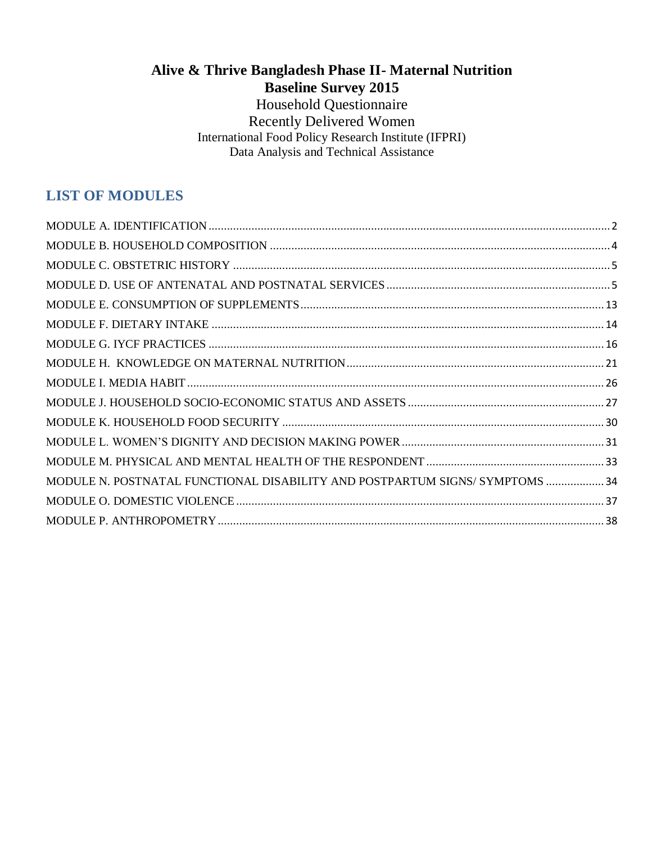## **Alive & Thrive Bangladesh Phase II- Maternal Nutrition Baseline Survey 2015**

Household Questionnaire Recently Delivered Women International Food Policy Research Institute (IFPRI) Data Analysis and Technical Assistance

## **LIST OF MODULES**

| MODULE N. POSTNATAL FUNCTIONAL DISABILITY AND POSTPARTUM SIGNS/SYMPTOMS  34 |  |
|-----------------------------------------------------------------------------|--|
|                                                                             |  |
|                                                                             |  |
|                                                                             |  |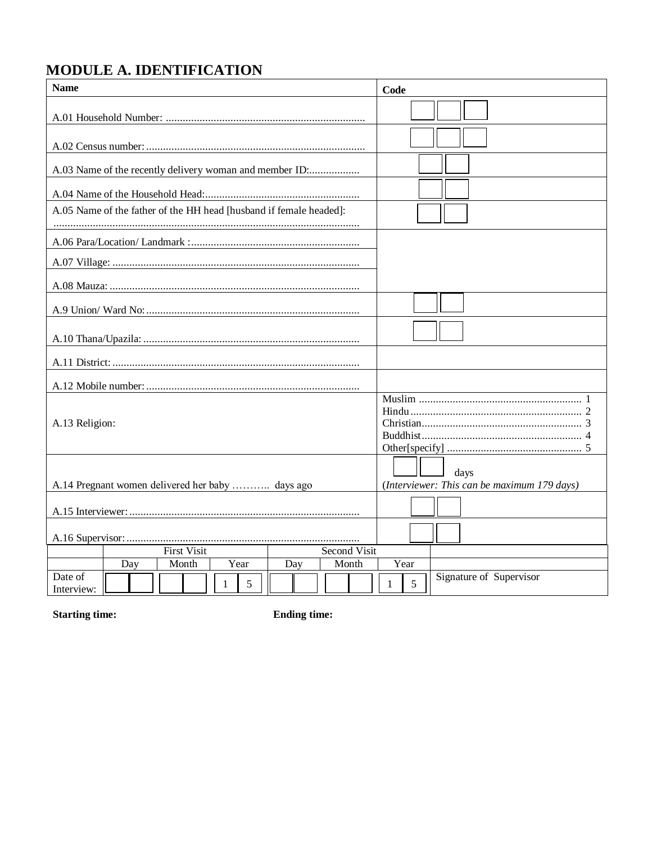## <span id="page-1-0"></span>MODULE A. IDENTIFICATION

| <b>Name</b>           |                                                                    |                             |   |      |     |                       | Code |      |                                                     |
|-----------------------|--------------------------------------------------------------------|-----------------------------|---|------|-----|-----------------------|------|------|-----------------------------------------------------|
|                       |                                                                    |                             |   |      |     |                       |      |      |                                                     |
|                       |                                                                    |                             |   |      |     |                       |      |      |                                                     |
|                       | A.03 Name of the recently delivery woman and member ID:            |                             |   |      |     |                       |      |      |                                                     |
|                       |                                                                    |                             |   |      |     |                       |      |      |                                                     |
|                       | A.05 Name of the father of the HH head [husband if female headed]: |                             |   |      |     |                       |      |      |                                                     |
|                       |                                                                    |                             |   |      |     |                       |      |      |                                                     |
|                       |                                                                    |                             |   |      |     |                       |      |      |                                                     |
|                       |                                                                    |                             |   |      |     |                       |      |      |                                                     |
|                       |                                                                    |                             |   |      |     |                       |      |      |                                                     |
|                       |                                                                    |                             |   |      |     |                       |      |      |                                                     |
|                       |                                                                    |                             |   |      |     |                       |      |      |                                                     |
|                       |                                                                    |                             |   |      |     |                       |      |      |                                                     |
| A.13 Religion:        |                                                                    |                             |   |      |     |                       |      |      |                                                     |
|                       | A.14 Pregnant women delivered her baby  days ago                   |                             |   |      |     |                       |      |      | days<br>(Interviewer: This can be maximum 179 days) |
|                       |                                                                    |                             |   |      |     |                       |      |      |                                                     |
|                       |                                                                    |                             |   |      |     |                       |      |      |                                                     |
|                       |                                                                    |                             |   |      |     |                       |      |      |                                                     |
|                       |                                                                    | <b>First Visit</b><br>Month |   | Year | Day | Second Visit<br>Month |      | Year |                                                     |
| Date of<br>Interview: | Day                                                                |                             | 1 | 5    |     |                       | 1    | 5    | Signature of Supervisor                             |

**Starting time:** 

**Ending time:**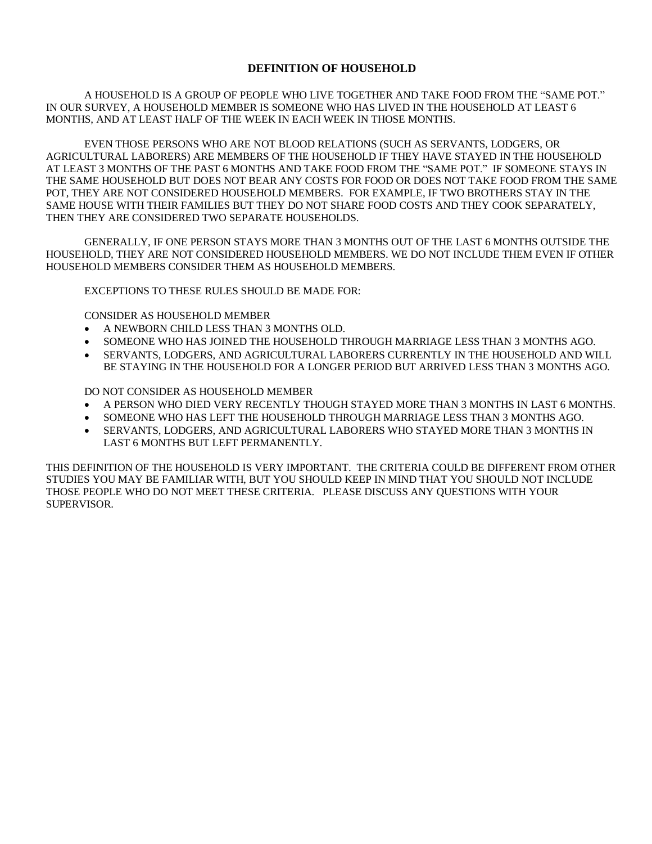#### **DEFINITION OF HOUSEHOLD**

A HOUSEHOLD IS A GROUP OF PEOPLE WHO LIVE TOGETHER AND TAKE FOOD FROM THE "SAME POT." IN OUR SURVEY, A HOUSEHOLD MEMBER IS SOMEONE WHO HAS LIVED IN THE HOUSEHOLD AT LEAST 6 MONTHS, AND AT LEAST HALF OF THE WEEK IN EACH WEEK IN THOSE MONTHS.

EVEN THOSE PERSONS WHO ARE NOT BLOOD RELATIONS (SUCH AS SERVANTS, LODGERS, OR AGRICULTURAL LABORERS) ARE MEMBERS OF THE HOUSEHOLD IF THEY HAVE STAYED IN THE HOUSEHOLD AT LEAST 3 MONTHS OF THE PAST 6 MONTHS AND TAKE FOOD FROM THE "SAME POT." IF SOMEONE STAYS IN THE SAME HOUSEHOLD BUT DOES NOT BEAR ANY COSTS FOR FOOD OR DOES NOT TAKE FOOD FROM THE SAME POT, THEY ARE NOT CONSIDERED HOUSEHOLD MEMBERS. FOR EXAMPLE, IF TWO BROTHERS STAY IN THE SAME HOUSE WITH THEIR FAMILIES BUT THEY DO NOT SHARE FOOD COSTS AND THEY COOK SEPARATELY, THEN THEY ARE CONSIDERED TWO SEPARATE HOUSEHOLDS.

GENERALLY, IF ONE PERSON STAYS MORE THAN 3 MONTHS OUT OF THE LAST 6 MONTHS OUTSIDE THE HOUSEHOLD, THEY ARE NOT CONSIDERED HOUSEHOLD MEMBERS. WE DO NOT INCLUDE THEM EVEN IF OTHER HOUSEHOLD MEMBERS CONSIDER THEM AS HOUSEHOLD MEMBERS.

EXCEPTIONS TO THESE RULES SHOULD BE MADE FOR:

CONSIDER AS HOUSEHOLD MEMBER

- A NEWBORN CHILD LESS THAN 3 MONTHS OLD.
- SOMEONE WHO HAS JOINED THE HOUSEHOLD THROUGH MARRIAGE LESS THAN 3 MONTHS AGO.
- SERVANTS, LODGERS, AND AGRICULTURAL LABORERS CURRENTLY IN THE HOUSEHOLD AND WILL BE STAYING IN THE HOUSEHOLD FOR A LONGER PERIOD BUT ARRIVED LESS THAN 3 MONTHS AGO.

DO NOT CONSIDER AS HOUSEHOLD MEMBER

- A PERSON WHO DIED VERY RECENTLY THOUGH STAYED MORE THAN 3 MONTHS IN LAST 6 MONTHS.
- SOMEONE WHO HAS LEFT THE HOUSEHOLD THROUGH MARRIAGE LESS THAN 3 MONTHS AGO.
- SERVANTS, LODGERS, AND AGRICULTURAL LABORERS WHO STAYED MORE THAN 3 MONTHS IN LAST 6 MONTHS BUT LEFT PERMANENTLY.

THIS DEFINITION OF THE HOUSEHOLD IS VERY IMPORTANT. THE CRITERIA COULD BE DIFFERENT FROM OTHER STUDIES YOU MAY BE FAMILIAR WITH, BUT YOU SHOULD KEEP IN MIND THAT YOU SHOULD NOT INCLUDE THOSE PEOPLE WHO DO NOT MEET THESE CRITERIA. PLEASE DISCUSS ANY QUESTIONS WITH YOUR SUPERVISOR.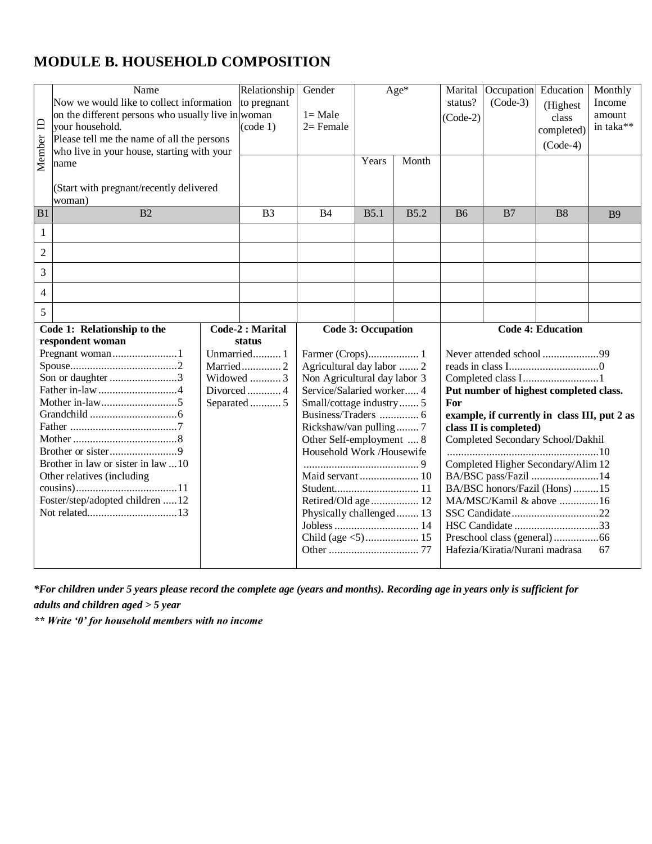### <span id="page-3-0"></span>**MODULE B. HOUSEHOLD COMPOSITION**

| $\Box$<br>Member | Name<br>Now we would like to collect information<br>on the different persons who usually live in woman<br>your household.<br>Please tell me the name of all the persons<br>who live in your house, starting with your<br>name<br>(Start with pregnant/recently delivered | Relationship<br>to pregnant<br>(code 1)                                      | Gender<br>$l = Male$<br>$2=$ Female                                                                                                                                                                                                                                        | Years                     | Age*<br>Month | Marital<br>status?<br>$(Code-2)$ | Occupation<br>$(Code-3)$                                 | Education<br>(Highest<br>class<br>completed)<br>$(Code-4)$                                                                                                                                                                                                                                                                  | Monthly<br>Income<br>amount<br>in taka** |
|------------------|--------------------------------------------------------------------------------------------------------------------------------------------------------------------------------------------------------------------------------------------------------------------------|------------------------------------------------------------------------------|----------------------------------------------------------------------------------------------------------------------------------------------------------------------------------------------------------------------------------------------------------------------------|---------------------------|---------------|----------------------------------|----------------------------------------------------------|-----------------------------------------------------------------------------------------------------------------------------------------------------------------------------------------------------------------------------------------------------------------------------------------------------------------------------|------------------------------------------|
| B1               | woman)<br>B2                                                                                                                                                                                                                                                             | B <sub>3</sub>                                                               | <b>B4</b>                                                                                                                                                                                                                                                                  | B5.1                      | B5.2          | <b>B6</b>                        | B7                                                       | <b>B8</b>                                                                                                                                                                                                                                                                                                                   | <b>B</b> 9                               |
| 1                |                                                                                                                                                                                                                                                                          |                                                                              |                                                                                                                                                                                                                                                                            |                           |               |                                  |                                                          |                                                                                                                                                                                                                                                                                                                             |                                          |
| $\overline{c}$   |                                                                                                                                                                                                                                                                          |                                                                              |                                                                                                                                                                                                                                                                            |                           |               |                                  |                                                          |                                                                                                                                                                                                                                                                                                                             |                                          |
| 3                |                                                                                                                                                                                                                                                                          |                                                                              |                                                                                                                                                                                                                                                                            |                           |               |                                  |                                                          |                                                                                                                                                                                                                                                                                                                             |                                          |
| 4                |                                                                                                                                                                                                                                                                          |                                                                              |                                                                                                                                                                                                                                                                            |                           |               |                                  |                                                          |                                                                                                                                                                                                                                                                                                                             |                                          |
| 5                |                                                                                                                                                                                                                                                                          |                                                                              |                                                                                                                                                                                                                                                                            |                           |               |                                  |                                                          |                                                                                                                                                                                                                                                                                                                             |                                          |
|                  | Code 1: Relationship to the                                                                                                                                                                                                                                              | Code-2 : Marital                                                             |                                                                                                                                                                                                                                                                            | <b>Code 3: Occupation</b> |               |                                  |                                                          | <b>Code 4: Education</b>                                                                                                                                                                                                                                                                                                    |                                          |
|                  | respondent woman<br>Pregnant woman1<br>Son or daughter 3<br>Brother in law or sister in law 10<br>Other relatives (including<br>Foster/step/adopted children 12                                                                                                          | status<br>Unmarried 1<br>Married2<br>Widowed  3<br>Divorced4<br>Separated  5 | Farmer (Crops) 1<br>Agricultural day labor  2<br>Non Agricultural day labor 3<br>Service/Salaried worker 4<br>Small/cottage industry 5<br>Rickshaw/van pulling7<br>Other Self-employment  8<br>Household Work /Housewife<br>Retired/Old age 12<br>Physically challenged 13 |                           |               | For                              | class II is completed)<br>Hafezia/Kiratia/Nurani madrasa | Never attended school 99<br>Completed class I1<br>Put number of highest completed class.<br>example, if currently in class III, put 2 as<br>Completed Secondary School/Dakhil<br>Completed Higher Secondary/Alim 12<br>BA/BSC pass/Fazil 14<br>BA/BSC honors/Fazil (Hons) 15<br>MA/MSC/Kamil & above 16<br>HSC Candidate 33 | 67                                       |

*\*For children under 5 years please record the complete age (years and months). Recording age in years only is sufficient for adults and children aged > 5 year*

*\*\* Write '0' for household members with no income*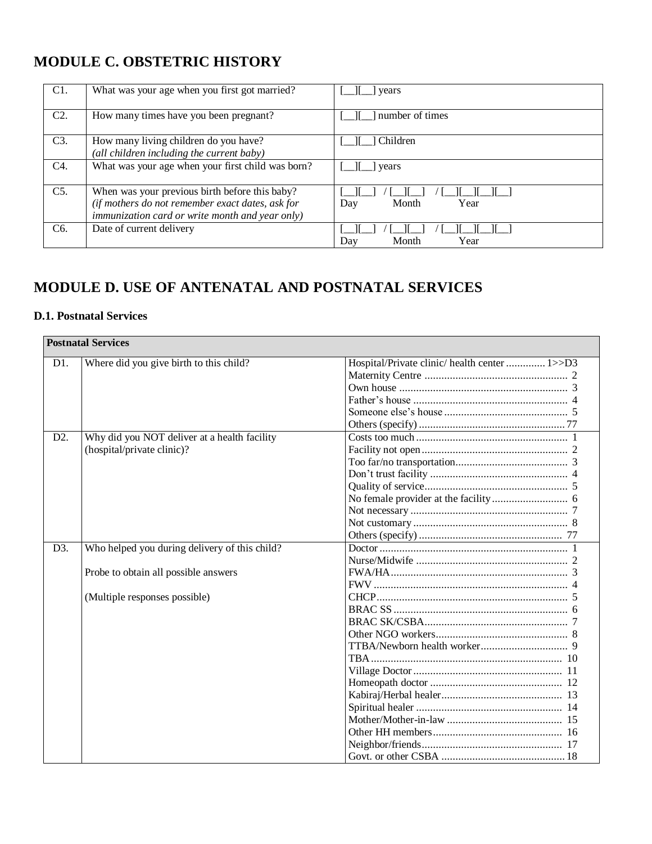## <span id="page-4-0"></span>**MODULE C. OBSTETRIC HISTORY**

| C1.              | What was your age when you first got married?          | years                |
|------------------|--------------------------------------------------------|----------------------|
|                  |                                                        |                      |
|                  |                                                        |                      |
| C <sub>2</sub>   | How many times have you been pregnant?                 | number of times      |
|                  |                                                        |                      |
|                  |                                                        |                      |
| C3.              | How many living children do you have?                  | Children             |
|                  |                                                        |                      |
|                  | (all children including the current baby)              |                      |
| C4.              | What was your age when your first child was born?      | vears                |
|                  |                                                        |                      |
|                  |                                                        |                      |
| $C5$ .           | When was your previous birth before this baby?         |                      |
|                  |                                                        |                      |
|                  | (if mothers do not remember exact dates, ask for       | Month<br>Year<br>Day |
|                  | <i>immunization card or write month and year only)</i> |                      |
|                  |                                                        |                      |
| C <sub>6</sub> . | Date of current delivery                               |                      |
|                  |                                                        | Month<br>Year<br>Day |
|                  |                                                        |                      |

### <span id="page-4-1"></span>**MODULE D. USE OF ANTENATAL AND POSTNATAL SERVICES**

#### **D.1. Postnatal Services**

|     | <b>Postnatal Services</b>                     |                                               |
|-----|-----------------------------------------------|-----------------------------------------------|
| D1. | Where did you give birth to this child?       | Hospital/Private clinic/ health center  1>>D3 |
|     |                                               |                                               |
|     |                                               |                                               |
|     |                                               |                                               |
|     |                                               |                                               |
|     |                                               |                                               |
| D2. | Why did you NOT deliver at a health facility  |                                               |
|     | (hospital/private clinic)?                    |                                               |
|     |                                               |                                               |
|     |                                               |                                               |
|     |                                               |                                               |
|     |                                               |                                               |
|     |                                               |                                               |
|     |                                               |                                               |
|     |                                               |                                               |
| D3. | Who helped you during delivery of this child? |                                               |
|     |                                               |                                               |
|     | Probe to obtain all possible answers          |                                               |
|     |                                               |                                               |
|     | (Multiple responses possible)                 |                                               |
|     |                                               |                                               |
|     |                                               |                                               |
|     |                                               |                                               |
|     |                                               |                                               |
|     |                                               |                                               |
|     |                                               |                                               |
|     |                                               |                                               |
|     |                                               |                                               |
|     |                                               |                                               |
|     |                                               |                                               |
|     |                                               |                                               |
|     |                                               |                                               |
|     |                                               |                                               |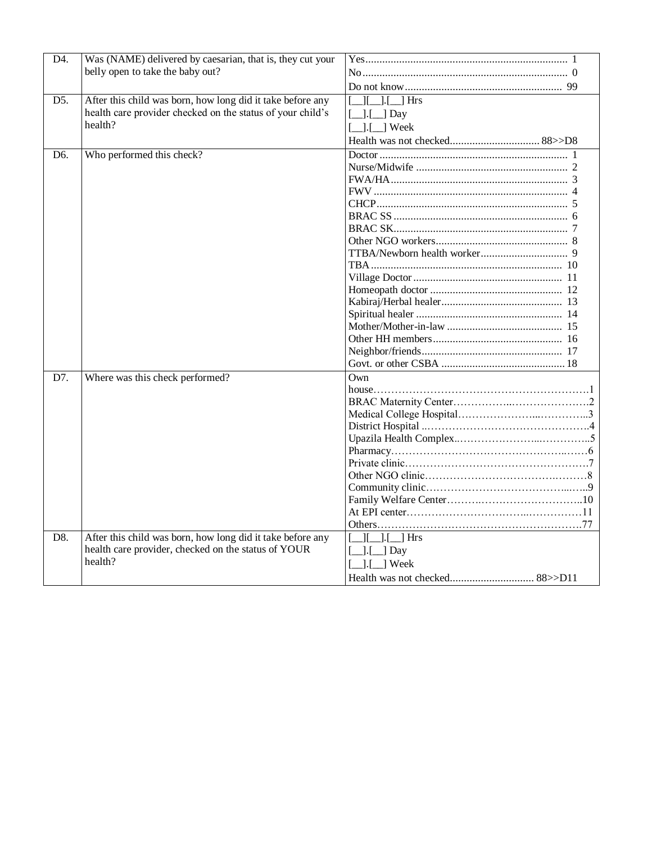| D4.               | Was (NAME) delivered by caesarian, that is, they cut your  |                                        |
|-------------------|------------------------------------------------------------|----------------------------------------|
|                   | belly open to take the baby out?                           |                                        |
|                   |                                                            |                                        |
| $\overline{D5}$ . | After this child was born, how long did it take before any | Hrs<br>-1.1                            |
|                   | health care provider checked on the status of your child's | $\Box$ [ $\Box$ ] Day                  |
|                   | health?                                                    | $\lfloor . \rfloor$ Week               |
|                   |                                                            |                                        |
| D <sub>6</sub> .  | Who performed this check?                                  |                                        |
|                   |                                                            |                                        |
|                   |                                                            |                                        |
|                   |                                                            |                                        |
|                   |                                                            |                                        |
|                   |                                                            |                                        |
|                   |                                                            |                                        |
|                   |                                                            |                                        |
|                   |                                                            |                                        |
|                   |                                                            |                                        |
|                   |                                                            |                                        |
|                   |                                                            |                                        |
|                   |                                                            |                                        |
|                   |                                                            |                                        |
|                   |                                                            |                                        |
|                   |                                                            |                                        |
|                   |                                                            |                                        |
|                   |                                                            |                                        |
| D7.               | Where was this check performed?                            | Own                                    |
|                   |                                                            |                                        |
|                   |                                                            |                                        |
|                   |                                                            |                                        |
|                   |                                                            |                                        |
|                   |                                                            |                                        |
|                   |                                                            |                                        |
|                   |                                                            |                                        |
|                   |                                                            |                                        |
|                   |                                                            |                                        |
|                   |                                                            |                                        |
|                   |                                                            |                                        |
|                   |                                                            |                                        |
| D8.               | After this child was born, how long did it take before any | $\lfloor . \rfloor$ $\lfloor$ Hrs      |
|                   | health care provider, checked on the status of YOUR        | $\left[\frac{\cdot}{\cdot}\right]$ Day |
|                   | health?                                                    | ] Week                                 |
|                   |                                                            |                                        |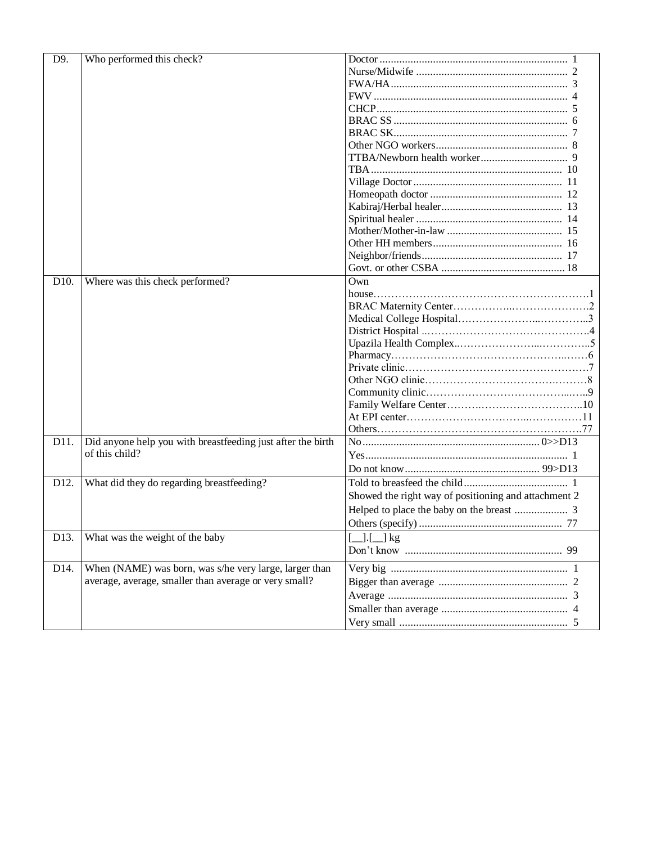| D9.               | Who performed this check?                                   |                                                      |
|-------------------|-------------------------------------------------------------|------------------------------------------------------|
|                   |                                                             |                                                      |
|                   |                                                             |                                                      |
|                   |                                                             |                                                      |
|                   |                                                             |                                                      |
|                   |                                                             |                                                      |
|                   |                                                             |                                                      |
|                   |                                                             |                                                      |
|                   |                                                             |                                                      |
|                   |                                                             |                                                      |
|                   |                                                             |                                                      |
|                   |                                                             |                                                      |
|                   |                                                             |                                                      |
|                   |                                                             |                                                      |
|                   |                                                             |                                                      |
|                   |                                                             |                                                      |
|                   |                                                             |                                                      |
|                   |                                                             |                                                      |
| D10.              | Where was this check performed?                             | Own                                                  |
|                   |                                                             |                                                      |
|                   |                                                             |                                                      |
|                   |                                                             |                                                      |
|                   |                                                             |                                                      |
|                   |                                                             |                                                      |
|                   |                                                             |                                                      |
|                   |                                                             |                                                      |
|                   |                                                             |                                                      |
|                   |                                                             |                                                      |
|                   |                                                             |                                                      |
|                   |                                                             |                                                      |
|                   |                                                             |                                                      |
| D11.              | Did anyone help you with breastfeeding just after the birth |                                                      |
|                   | of this child?                                              |                                                      |
|                   |                                                             |                                                      |
| D12.              | What did they do regarding breastfeeding?                   |                                                      |
|                   |                                                             | Showed the right way of positioning and attachment 2 |
|                   |                                                             |                                                      |
|                   |                                                             |                                                      |
|                   |                                                             |                                                      |
| D <sub>13</sub> . | What was the weight of the baby                             | $\boxed{\_}.$ $\boxed{\_}.$ $\boxed{\_\}$ kg         |
|                   |                                                             |                                                      |
| D14.              | When (NAME) was born, was s/he very large, larger than      |                                                      |
|                   | average, average, smaller than average or very small?       |                                                      |
|                   |                                                             |                                                      |
|                   |                                                             |                                                      |
|                   |                                                             |                                                      |
|                   |                                                             |                                                      |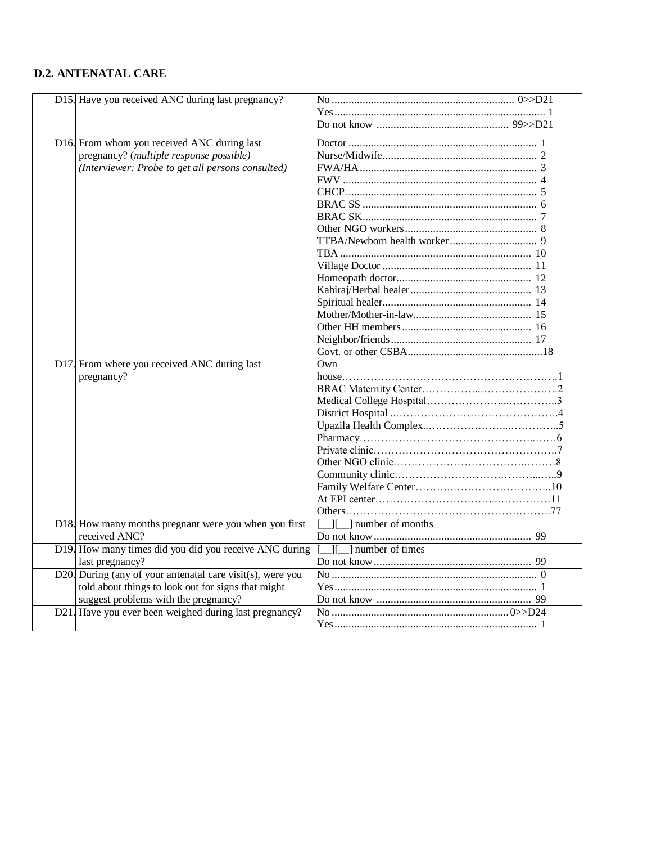### **D.2. ANTENATAL CARE**

| D15. Have you received ANC during last pregnancy?                      |                                   |
|------------------------------------------------------------------------|-----------------------------------|
|                                                                        |                                   |
|                                                                        |                                   |
| D16. From whom you received ANC during last                            |                                   |
| pregnancy? (multiple response possible)                                |                                   |
| (Interviewer: Probe to get all persons consulted)                      |                                   |
|                                                                        |                                   |
|                                                                        |                                   |
|                                                                        |                                   |
|                                                                        |                                   |
|                                                                        |                                   |
|                                                                        |                                   |
|                                                                        |                                   |
|                                                                        |                                   |
|                                                                        |                                   |
|                                                                        |                                   |
|                                                                        |                                   |
|                                                                        |                                   |
|                                                                        |                                   |
|                                                                        |                                   |
|                                                                        |                                   |
| D17. From where you received ANC during last                           | Own                               |
| pregnancy?                                                             |                                   |
|                                                                        |                                   |
|                                                                        |                                   |
|                                                                        |                                   |
|                                                                        |                                   |
|                                                                        |                                   |
|                                                                        |                                   |
|                                                                        |                                   |
|                                                                        |                                   |
|                                                                        |                                   |
|                                                                        |                                   |
|                                                                        |                                   |
|                                                                        | I number of months<br>Ш           |
| D18. How many months pregnant were you when you first<br>received ANC? |                                   |
| D19. How many times did you did you receive ANC during                 | I number of times<br>$\mathbf{I}$ |
| last pregnancy?                                                        |                                   |
| D20. During (any of your antenatal care visit(s), were you             |                                   |
| told about things to look out for signs that might                     |                                   |
| suggest problems with the pregnancy?                                   |                                   |
| D21. Have you ever been weighed during last pregnancy?                 |                                   |
|                                                                        |                                   |
|                                                                        |                                   |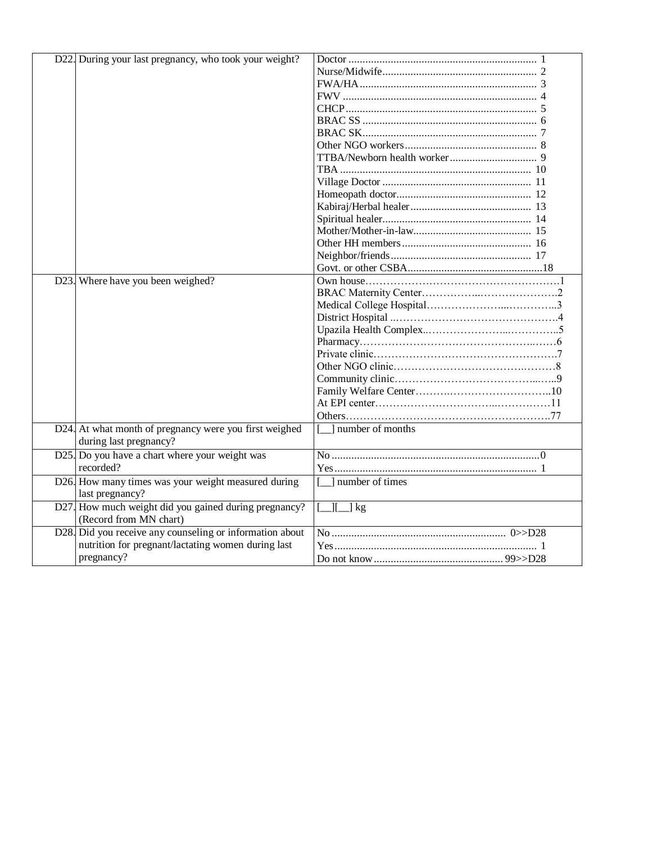| D22. During your last pregnancy, who took your weight?   |                                              |
|----------------------------------------------------------|----------------------------------------------|
|                                                          |                                              |
|                                                          |                                              |
|                                                          |                                              |
|                                                          |                                              |
|                                                          |                                              |
|                                                          |                                              |
|                                                          |                                              |
|                                                          |                                              |
|                                                          |                                              |
|                                                          |                                              |
|                                                          |                                              |
|                                                          |                                              |
|                                                          |                                              |
|                                                          |                                              |
|                                                          |                                              |
|                                                          |                                              |
|                                                          |                                              |
| D23. Where have you been weighed?                        |                                              |
|                                                          |                                              |
|                                                          |                                              |
|                                                          |                                              |
|                                                          |                                              |
|                                                          |                                              |
|                                                          |                                              |
|                                                          |                                              |
|                                                          |                                              |
|                                                          |                                              |
|                                                          |                                              |
|                                                          |                                              |
| D24. At what month of pregnancy were you first weighed   | [11] number of months                        |
| during last pregnancy?                                   |                                              |
| D25. Do you have a chart where your weight was           |                                              |
| recorded?                                                |                                              |
| D26. How many times was your weight measured during      | mumber of times                              |
| last pregnancy?                                          |                                              |
| D27. How much weight did you gained during pregnancy?    | $[\underline{\quad}] [\underline{\quad}]$ kg |
| (Record from MN chart)                                   |                                              |
| D28. Did you receive any counseling or information about |                                              |
| nutrition for pregnant/lactating women during last       |                                              |
| pregnancy?                                               |                                              |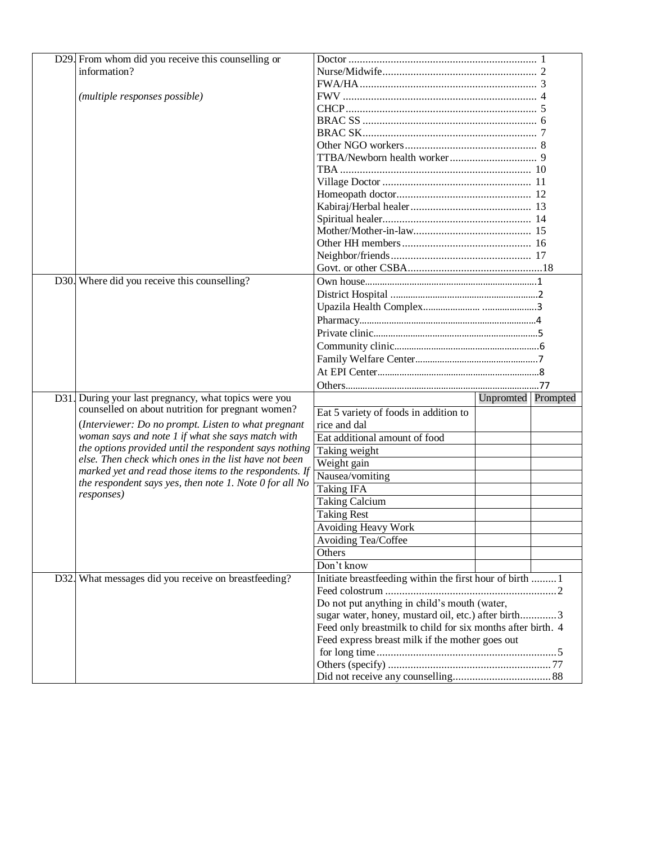| D29. From whom did you receive this counselling or      |                                                             |                    |  |  |  |
|---------------------------------------------------------|-------------------------------------------------------------|--------------------|--|--|--|
| information?                                            |                                                             |                    |  |  |  |
|                                                         |                                                             |                    |  |  |  |
| (multiple responses possible)                           |                                                             |                    |  |  |  |
|                                                         |                                                             |                    |  |  |  |
|                                                         |                                                             |                    |  |  |  |
|                                                         |                                                             |                    |  |  |  |
|                                                         |                                                             |                    |  |  |  |
|                                                         |                                                             |                    |  |  |  |
|                                                         |                                                             |                    |  |  |  |
|                                                         |                                                             |                    |  |  |  |
|                                                         |                                                             |                    |  |  |  |
|                                                         |                                                             |                    |  |  |  |
|                                                         |                                                             |                    |  |  |  |
|                                                         |                                                             |                    |  |  |  |
|                                                         |                                                             |                    |  |  |  |
|                                                         |                                                             |                    |  |  |  |
|                                                         |                                                             |                    |  |  |  |
| D30. Where did you receive this counselling?            |                                                             |                    |  |  |  |
|                                                         |                                                             |                    |  |  |  |
|                                                         |                                                             |                    |  |  |  |
|                                                         |                                                             |                    |  |  |  |
|                                                         |                                                             |                    |  |  |  |
|                                                         |                                                             |                    |  |  |  |
|                                                         |                                                             |                    |  |  |  |
|                                                         |                                                             |                    |  |  |  |
|                                                         |                                                             |                    |  |  |  |
| D31. During your last pregnancy, what topics were you   |                                                             | Unpromted Prompted |  |  |  |
| counselled on about nutrition for pregnant women?       | Eat 5 variety of foods in addition to                       |                    |  |  |  |
| (Interviewer: Do no prompt. Listen to what pregnant     | rice and dal                                                |                    |  |  |  |
| woman says and note 1 if what she says match with       | Eat additional amount of food                               |                    |  |  |  |
| the options provided until the respondent says nothing  | Taking weight                                               |                    |  |  |  |
| else. Then check which ones in the list have not been   | Weight gain                                                 |                    |  |  |  |
| marked yet and read those items to the respondents. If  | Nausea/vomiting                                             |                    |  |  |  |
| the respondent says yes, then note 1. Note 0 for all No | Taking IFA                                                  |                    |  |  |  |
| responses)                                              | <b>Taking Calcium</b>                                       |                    |  |  |  |
|                                                         | <b>Taking Rest</b>                                          |                    |  |  |  |
|                                                         | Avoiding Heavy Work                                         |                    |  |  |  |
|                                                         | Avoiding Tea/Coffee                                         |                    |  |  |  |
|                                                         | Others                                                      |                    |  |  |  |
|                                                         | Don't know                                                  |                    |  |  |  |
| D32. What messages did you receive on breastfeeding?    | Initiate breastfeeding within the first hour of birth  1    |                    |  |  |  |
|                                                         |                                                             |                    |  |  |  |
|                                                         | Do not put anything in child's mouth (water,                |                    |  |  |  |
|                                                         | sugar water, honey, mustard oil, etc.) after birth3         |                    |  |  |  |
|                                                         | Feed only breastmilk to child for six months after birth. 4 |                    |  |  |  |
|                                                         | Feed express breast milk if the mother goes out             |                    |  |  |  |
|                                                         |                                                             |                    |  |  |  |
|                                                         |                                                             |                    |  |  |  |
|                                                         |                                                             |                    |  |  |  |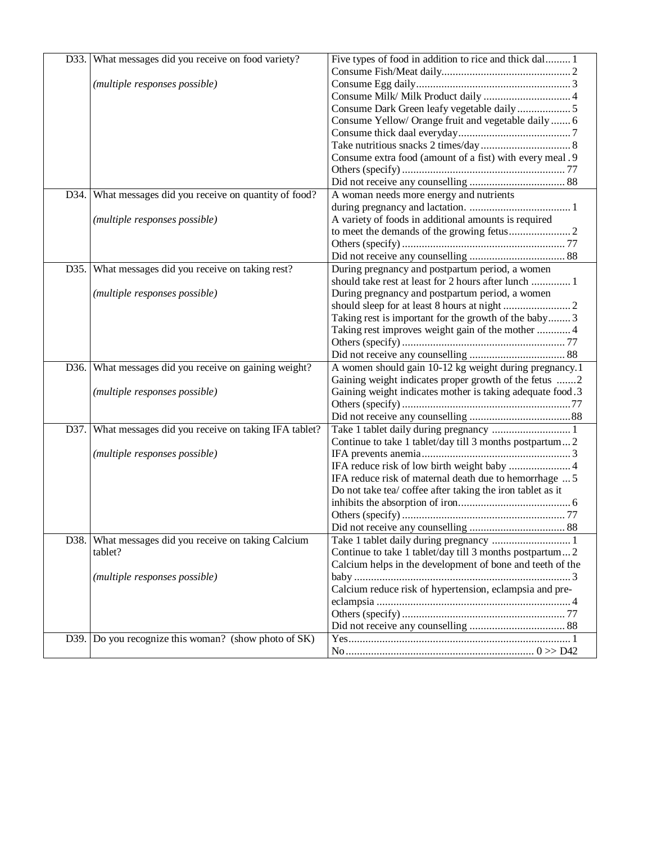|      | D33. What messages did you receive on food variety? | Five types of food in addition to rice and thick dal 1     |
|------|-----------------------------------------------------|------------------------------------------------------------|
|      |                                                     |                                                            |
|      | (multiple responses possible)                       |                                                            |
|      |                                                     | Consume Milk/ Milk Product daily  4                        |
|      |                                                     |                                                            |
|      |                                                     | Consume Yellow/ Orange fruit and vegetable daily  6        |
|      |                                                     |                                                            |
|      |                                                     |                                                            |
|      |                                                     | Consume extra food (amount of a fist) with every meal . 9  |
|      |                                                     |                                                            |
|      |                                                     |                                                            |
| D34. | What messages did you receive on quantity of food?  | A woman needs more energy and nutrients                    |
|      |                                                     |                                                            |
|      | (multiple responses possible)                       | A variety of foods in additional amounts is required       |
|      |                                                     |                                                            |
|      |                                                     |                                                            |
|      |                                                     |                                                            |
| D35. | What messages did you receive on taking rest?       | During pregnancy and postpartum period, a women            |
|      |                                                     | should take rest at least for 2 hours after lunch  1       |
|      | (multiple responses possible)                       | During pregnancy and postpartum period, a women            |
|      |                                                     |                                                            |
|      |                                                     | Taking rest is important for the growth of the baby 3      |
|      |                                                     | Taking rest improves weight gain of the mother  4          |
|      |                                                     |                                                            |
|      |                                                     |                                                            |
| D36. | What messages did you receive on gaining weight?    | A women should gain 10-12 kg weight during pregnancy.1     |
|      |                                                     | Gaining weight indicates proper growth of the fetus 2      |
|      | (multiple responses possible)                       | Gaining weight indicates mother is taking adequate food.3  |
|      |                                                     |                                                            |
|      |                                                     |                                                            |
| D37. | What messages did you receive on taking IFA tablet? | Take 1 tablet daily during pregnancy  1                    |
|      |                                                     | Continue to take 1 tablet/day till 3 months postpartum 2   |
|      | (multiple responses possible)                       |                                                            |
|      |                                                     |                                                            |
|      |                                                     | IFA reduce risk of maternal death due to hemorrhage  5     |
|      |                                                     | Do not take tea/ coffee after taking the iron tablet as it |
|      |                                                     |                                                            |
|      |                                                     |                                                            |
|      |                                                     |                                                            |
| D38. | What messages did you receive on taking Calcium     | Take 1 tablet daily during pregnancy  1                    |
|      | tablet?                                             | Continue to take 1 tablet/day till 3 months postpartum 2   |
|      |                                                     | Calcium helps in the development of bone and teeth of the  |
|      | (multiple responses possible)                       |                                                            |
|      |                                                     | Calcium reduce risk of hypertension, eclampsia and pre-    |
|      |                                                     |                                                            |
|      |                                                     |                                                            |
|      |                                                     |                                                            |
| D39. | Do you recognize this woman? (show photo of SK)     |                                                            |
|      |                                                     |                                                            |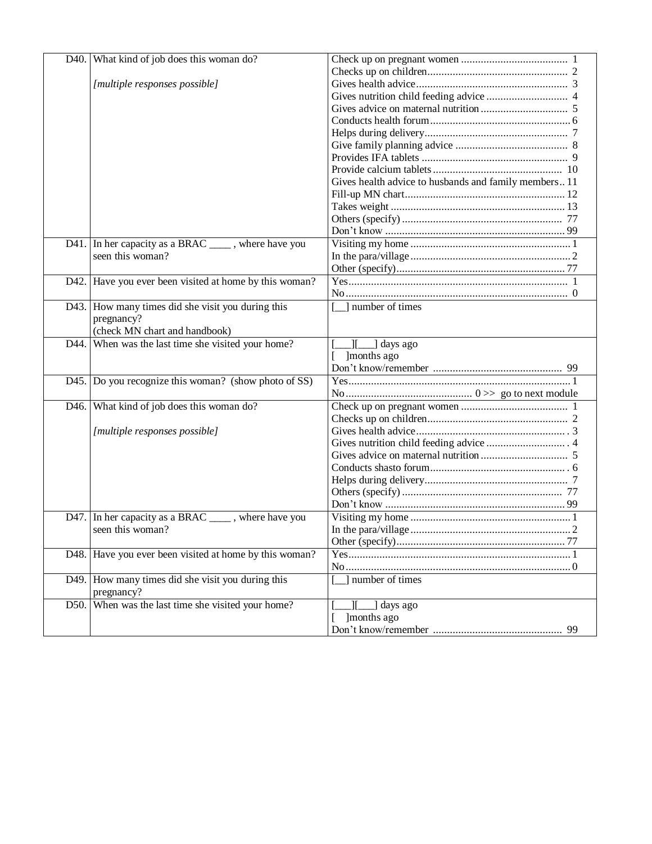|      | D40. What kind of job does this woman do?              |                                                       |
|------|--------------------------------------------------------|-------------------------------------------------------|
|      |                                                        |                                                       |
|      | [multiple responses possible]                          |                                                       |
|      |                                                        |                                                       |
|      |                                                        |                                                       |
|      |                                                        |                                                       |
|      |                                                        |                                                       |
|      |                                                        |                                                       |
|      |                                                        |                                                       |
|      |                                                        |                                                       |
|      |                                                        | Gives health advice to husbands and family members 11 |
|      |                                                        |                                                       |
|      |                                                        |                                                       |
|      |                                                        |                                                       |
|      |                                                        |                                                       |
|      | D41. In her capacity as a BRAC ______, where have you  |                                                       |
|      | seen this woman?                                       |                                                       |
|      |                                                        |                                                       |
|      | D42. Have you ever been visited at home by this woman? |                                                       |
|      |                                                        |                                                       |
|      | D43. How many times did she visit you during this      | number of times                                       |
|      | pregnancy?                                             |                                                       |
|      | (check MN chart and handbook)                          |                                                       |
| D44. | When was the last time she visited your home?          | I[__] days ago                                        |
|      |                                                        |                                                       |
|      |                                                        |                                                       |
|      |                                                        | ]months ago                                           |
|      |                                                        |                                                       |
|      | D45. Do you recognize this woman? (show photo of SS)   |                                                       |
|      |                                                        |                                                       |
|      | D46. What kind of job does this woman do?              |                                                       |
|      |                                                        |                                                       |
|      | [multiple responses possible]                          |                                                       |
|      |                                                        |                                                       |
|      |                                                        |                                                       |
|      |                                                        |                                                       |
|      |                                                        |                                                       |
|      |                                                        |                                                       |
|      |                                                        |                                                       |
|      | D47. In her capacity as a BRAC ______, where have you  |                                                       |
|      | seen this woman?                                       |                                                       |
|      |                                                        |                                                       |
|      | D48. Have you ever been visited at home by this woman? |                                                       |
|      |                                                        |                                                       |
|      | D49. How many times did she visit you during this      | ] number of times                                     |
|      | pregnancy?                                             |                                                       |
|      | D50. When was the last time she visited your home?     | ][__] days ago                                        |
|      |                                                        | ]months ago                                           |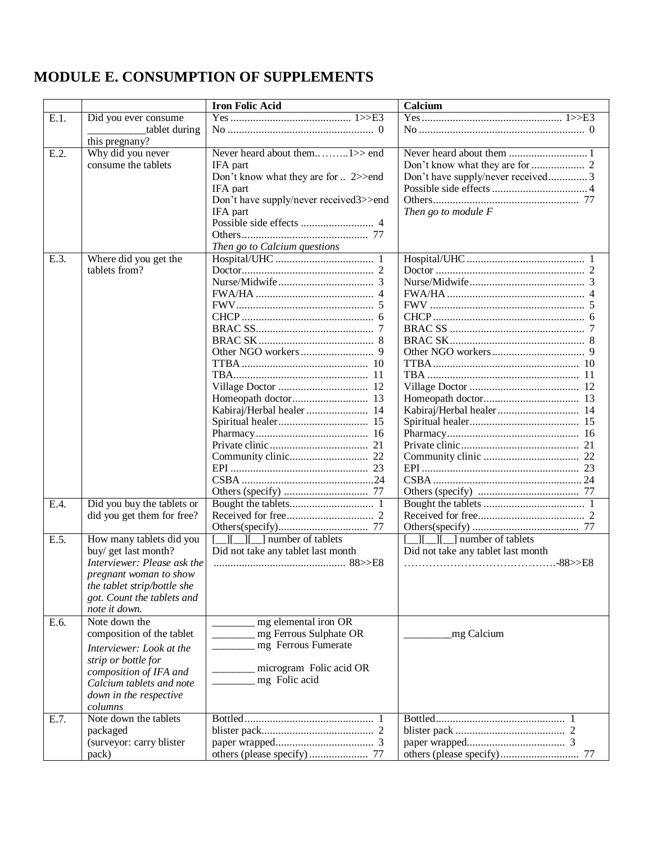## <span id="page-12-0"></span>**MODULE E. CONSUMPTION OF SUPPLEMENTS**

|      |                                                                                                                                                                                          | <b>Iron Folic Acid</b>                                                                                                                             | Calcium                                                        |  |  |  |
|------|------------------------------------------------------------------------------------------------------------------------------------------------------------------------------------------|----------------------------------------------------------------------------------------------------------------------------------------------------|----------------------------------------------------------------|--|--|--|
| E.1. | Did you ever consume<br>tablet during                                                                                                                                                    |                                                                                                                                                    |                                                                |  |  |  |
| E.2. | this pregnany?<br>Why did you never                                                                                                                                                      |                                                                                                                                                    |                                                                |  |  |  |
| E.3. | consume the tablets<br>Where did you get the                                                                                                                                             | IFA part<br>Don't know what they are for  2>>end<br>IFA part<br>Don't have supply/never received3>>end<br>IFA part<br>Then go to Calcium questions | Don't have supply/never received3<br>Then go to module F       |  |  |  |
|      | tablets from?                                                                                                                                                                            | Kabiraj/Herbal healer  14                                                                                                                          |                                                                |  |  |  |
| E.4. | Did you buy the tablets or<br>did you get them for free?                                                                                                                                 |                                                                                                                                                    |                                                                |  |  |  |
| E.5. | How many tablets did you<br>buy/ get last month?<br>Interviewer: Please ask the<br>pregnant woman to show<br>the tablet strip/bottle she<br>got. Count the tablets and<br>note it down.  | $\Box$ [ $\Box$ ] number of tablets<br>Did not take any tablet last month                                                                          | $\Box$ number of tablets<br>Did not take any tablet last month |  |  |  |
| E.6. | Note down the<br>composition of the tablet<br>Interviewer: Look at the<br>strip or bottle for<br>composition of IFA and<br>Calcium tablets and note<br>down in the respective<br>columns | mg elemental iron OR<br>mg Ferrous Sulphate OR<br>mg Ferrous Fumerate<br>microgram Folic acid OR<br>mg Folic acid                                  | mg Calcium                                                     |  |  |  |
| E.7. | Note down the tablets<br>packaged<br>(surveyor: carry blister<br>pack)                                                                                                                   |                                                                                                                                                    |                                                                |  |  |  |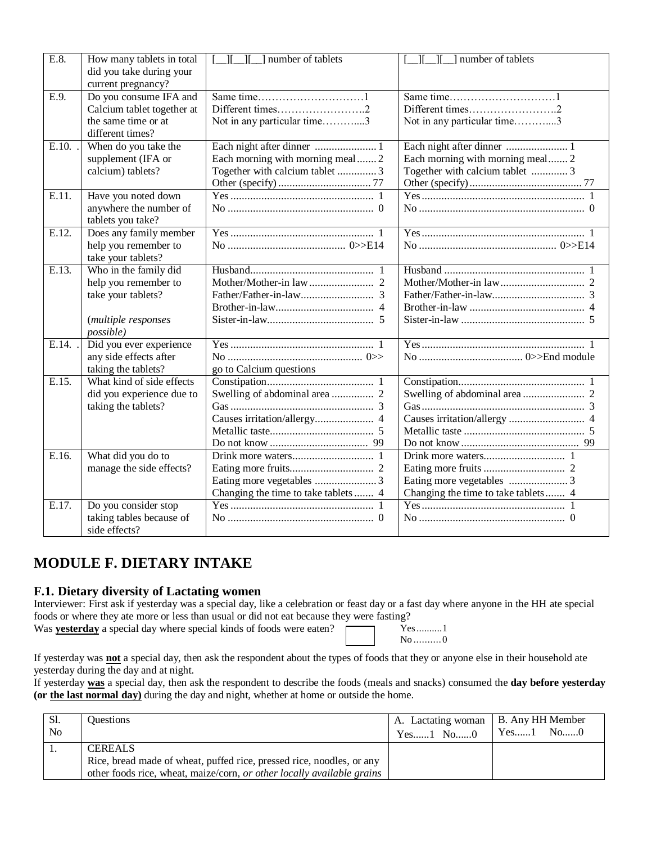| E.8.  | How many tablets in total<br>did you take during your                                                           | ] number of tablets<br>ा                                            | number of tablets                                                   |
|-------|-----------------------------------------------------------------------------------------------------------------|---------------------------------------------------------------------|---------------------------------------------------------------------|
|       | current pregnancy?                                                                                              |                                                                     |                                                                     |
| E.9.  | Do you consume IFA and<br>Calcium tablet together at<br>the same time or at<br>different times?                 | Not in any particular time3                                         | Different times2<br>Not in any particular time3                     |
| E.10. | When do you take the<br>supplement (IFA or<br>calcium) tablets?                                                 | Each morning with morning meal 2<br>Together with calcium tablet  3 | Each morning with morning meal 2<br>Together with calcium tablet  3 |
| E.11. | Have you noted down<br>anywhere the number of<br>tablets you take?                                              |                                                                     |                                                                     |
| E.12. | Does any family member<br>help you remember to<br>take your tablets?                                            |                                                                     |                                                                     |
| E.13. | Who in the family did<br>help you remember to<br>take your tablets?<br>(multiple responses<br><i>possible</i> ) |                                                                     |                                                                     |
| E.14. | Did you ever experience<br>any side effects after<br>taking the tablets?                                        | go to Calcium questions                                             |                                                                     |
| E.15. | What kind of side effects<br>did you experience due to<br>taking the tablets?                                   |                                                                     |                                                                     |
| E.16. | What did you do to<br>manage the side effects?                                                                  | Changing the time to take tablets  4                                | Changing the time to take tablets 4                                 |
| E.17. | Do you consider stop<br>taking tables because of<br>side effects?                                               |                                                                     |                                                                     |

### <span id="page-13-0"></span>**MODULE F. DIETARY INTAKE**

#### **F.1. Dietary diversity of Lactating women**

Interviewer: First ask if yesterday was a special day, like a celebration or feast day or a fast day where anyone in the HH ate special foods or where they ate more or less than usual or did not eat because they were fasting?

Was **yesterday** a special day where special kinds of foods were eaten?

Yes..........1 No ..........0

If yesterday was **not** a special day, then ask the respondent about the types of foods that they or anyone else in their household ate yesterday during the day and at night.

If yesterday **was** a special day, then ask the respondent to describe the foods (meals and snacks) consumed the **day before yesterday (or the last normal day)** during the day and night, whether at home or outside the home.

| Sl.            | <b>Ouestions</b>                                                       | A. Lactating woman   B. Any HH Member |            |
|----------------|------------------------------------------------------------------------|---------------------------------------|------------|
| N <sub>o</sub> |                                                                        | Yes1 No0                              | $Yes1$ No0 |
| . .            | <b>CEREALS</b>                                                         |                                       |            |
|                | Rice, bread made of wheat, puffed rice, pressed rice, noodles, or any  |                                       |            |
|                | other foods rice, wheat, maize/corn, or other locally available grains |                                       |            |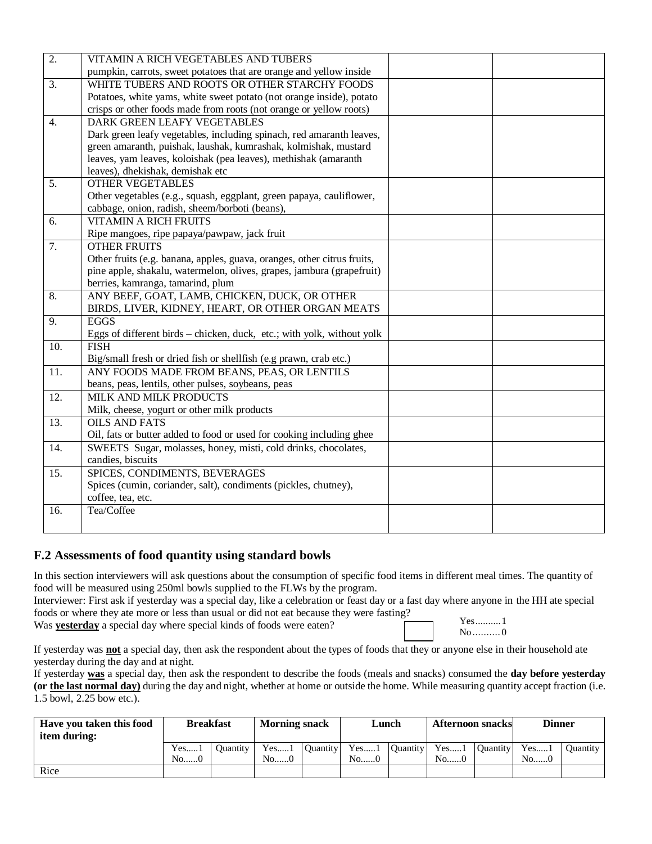| pumpkin, carrots, sweet potatoes that are orange and yellow inside<br>WHITE TUBERS AND ROOTS OR OTHER STARCHY FOODS<br>$\overline{3}$ .<br>Potatoes, white yams, white sweet potato (not orange inside), potato<br>crisps or other foods made from roots (not orange or yellow roots)<br><b>DARK GREEN LEAFY VEGETABLES</b><br>4.<br>Dark green leafy vegetables, including spinach, red amaranth leaves,<br>green amaranth, puishak, laushak, kumrashak, kolmishak, mustard<br>leaves, yam leaves, koloishak (pea leaves), methishak (amaranth<br>leaves), dhekishak, demishak etc<br><b>OTHER VEGETABLES</b><br>5.<br>Other vegetables (e.g., squash, eggplant, green papaya, cauliflower,<br>cabbage, onion, radish, sheem/borboti (beans),<br><b>VITAMIN A RICH FRUITS</b><br>6.<br>Ripe mangoes, ripe papaya/pawpaw, jack fruit<br><b>OTHER FRUITS</b><br>7.<br>Other fruits (e.g. banana, apples, guava, oranges, other citrus fruits,<br>pine apple, shakalu, watermelon, olives, grapes, jambura (grapefruit)<br>berries, kamranga, tamarind, plum<br>ANY BEEF, GOAT, LAMB, CHICKEN, DUCK, OR OTHER<br>8.<br>BIRDS, LIVER, KIDNEY, HEART, OR OTHER ORGAN MEATS<br><b>EGGS</b><br>9.<br>Eggs of different birds - chicken, duck, etc.; with yolk, without yolk<br>$\overline{10}$ .<br><b>FISH</b> |
|-----------------------------------------------------------------------------------------------------------------------------------------------------------------------------------------------------------------------------------------------------------------------------------------------------------------------------------------------------------------------------------------------------------------------------------------------------------------------------------------------------------------------------------------------------------------------------------------------------------------------------------------------------------------------------------------------------------------------------------------------------------------------------------------------------------------------------------------------------------------------------------------------------------------------------------------------------------------------------------------------------------------------------------------------------------------------------------------------------------------------------------------------------------------------------------------------------------------------------------------------------------------------------------------------------------|
|                                                                                                                                                                                                                                                                                                                                                                                                                                                                                                                                                                                                                                                                                                                                                                                                                                                                                                                                                                                                                                                                                                                                                                                                                                                                                                           |
|                                                                                                                                                                                                                                                                                                                                                                                                                                                                                                                                                                                                                                                                                                                                                                                                                                                                                                                                                                                                                                                                                                                                                                                                                                                                                                           |
|                                                                                                                                                                                                                                                                                                                                                                                                                                                                                                                                                                                                                                                                                                                                                                                                                                                                                                                                                                                                                                                                                                                                                                                                                                                                                                           |
|                                                                                                                                                                                                                                                                                                                                                                                                                                                                                                                                                                                                                                                                                                                                                                                                                                                                                                                                                                                                                                                                                                                                                                                                                                                                                                           |
|                                                                                                                                                                                                                                                                                                                                                                                                                                                                                                                                                                                                                                                                                                                                                                                                                                                                                                                                                                                                                                                                                                                                                                                                                                                                                                           |
|                                                                                                                                                                                                                                                                                                                                                                                                                                                                                                                                                                                                                                                                                                                                                                                                                                                                                                                                                                                                                                                                                                                                                                                                                                                                                                           |
|                                                                                                                                                                                                                                                                                                                                                                                                                                                                                                                                                                                                                                                                                                                                                                                                                                                                                                                                                                                                                                                                                                                                                                                                                                                                                                           |
|                                                                                                                                                                                                                                                                                                                                                                                                                                                                                                                                                                                                                                                                                                                                                                                                                                                                                                                                                                                                                                                                                                                                                                                                                                                                                                           |
|                                                                                                                                                                                                                                                                                                                                                                                                                                                                                                                                                                                                                                                                                                                                                                                                                                                                                                                                                                                                                                                                                                                                                                                                                                                                                                           |
|                                                                                                                                                                                                                                                                                                                                                                                                                                                                                                                                                                                                                                                                                                                                                                                                                                                                                                                                                                                                                                                                                                                                                                                                                                                                                                           |
|                                                                                                                                                                                                                                                                                                                                                                                                                                                                                                                                                                                                                                                                                                                                                                                                                                                                                                                                                                                                                                                                                                                                                                                                                                                                                                           |
|                                                                                                                                                                                                                                                                                                                                                                                                                                                                                                                                                                                                                                                                                                                                                                                                                                                                                                                                                                                                                                                                                                                                                                                                                                                                                                           |
|                                                                                                                                                                                                                                                                                                                                                                                                                                                                                                                                                                                                                                                                                                                                                                                                                                                                                                                                                                                                                                                                                                                                                                                                                                                                                                           |
|                                                                                                                                                                                                                                                                                                                                                                                                                                                                                                                                                                                                                                                                                                                                                                                                                                                                                                                                                                                                                                                                                                                                                                                                                                                                                                           |
|                                                                                                                                                                                                                                                                                                                                                                                                                                                                                                                                                                                                                                                                                                                                                                                                                                                                                                                                                                                                                                                                                                                                                                                                                                                                                                           |
|                                                                                                                                                                                                                                                                                                                                                                                                                                                                                                                                                                                                                                                                                                                                                                                                                                                                                                                                                                                                                                                                                                                                                                                                                                                                                                           |
|                                                                                                                                                                                                                                                                                                                                                                                                                                                                                                                                                                                                                                                                                                                                                                                                                                                                                                                                                                                                                                                                                                                                                                                                                                                                                                           |
|                                                                                                                                                                                                                                                                                                                                                                                                                                                                                                                                                                                                                                                                                                                                                                                                                                                                                                                                                                                                                                                                                                                                                                                                                                                                                                           |
|                                                                                                                                                                                                                                                                                                                                                                                                                                                                                                                                                                                                                                                                                                                                                                                                                                                                                                                                                                                                                                                                                                                                                                                                                                                                                                           |
|                                                                                                                                                                                                                                                                                                                                                                                                                                                                                                                                                                                                                                                                                                                                                                                                                                                                                                                                                                                                                                                                                                                                                                                                                                                                                                           |
|                                                                                                                                                                                                                                                                                                                                                                                                                                                                                                                                                                                                                                                                                                                                                                                                                                                                                                                                                                                                                                                                                                                                                                                                                                                                                                           |
|                                                                                                                                                                                                                                                                                                                                                                                                                                                                                                                                                                                                                                                                                                                                                                                                                                                                                                                                                                                                                                                                                                                                                                                                                                                                                                           |
|                                                                                                                                                                                                                                                                                                                                                                                                                                                                                                                                                                                                                                                                                                                                                                                                                                                                                                                                                                                                                                                                                                                                                                                                                                                                                                           |
| Big/small fresh or dried fish or shellfish (e.g prawn, crab etc.)                                                                                                                                                                                                                                                                                                                                                                                                                                                                                                                                                                                                                                                                                                                                                                                                                                                                                                                                                                                                                                                                                                                                                                                                                                         |
| ANY FOODS MADE FROM BEANS, PEAS, OR LENTILS<br>$\overline{11}$ .                                                                                                                                                                                                                                                                                                                                                                                                                                                                                                                                                                                                                                                                                                                                                                                                                                                                                                                                                                                                                                                                                                                                                                                                                                          |
| beans, peas, lentils, other pulses, soybeans, peas                                                                                                                                                                                                                                                                                                                                                                                                                                                                                                                                                                                                                                                                                                                                                                                                                                                                                                                                                                                                                                                                                                                                                                                                                                                        |
| MILK AND MILK PRODUCTS<br>12.                                                                                                                                                                                                                                                                                                                                                                                                                                                                                                                                                                                                                                                                                                                                                                                                                                                                                                                                                                                                                                                                                                                                                                                                                                                                             |
| Milk, cheese, yogurt or other milk products                                                                                                                                                                                                                                                                                                                                                                                                                                                                                                                                                                                                                                                                                                                                                                                                                                                                                                                                                                                                                                                                                                                                                                                                                                                               |
| <b>OILS AND FATS</b><br>$\overline{13}$ .                                                                                                                                                                                                                                                                                                                                                                                                                                                                                                                                                                                                                                                                                                                                                                                                                                                                                                                                                                                                                                                                                                                                                                                                                                                                 |
| Oil, fats or butter added to food or used for cooking including ghee                                                                                                                                                                                                                                                                                                                                                                                                                                                                                                                                                                                                                                                                                                                                                                                                                                                                                                                                                                                                                                                                                                                                                                                                                                      |
| SWEETS Sugar, molasses, honey, misti, cold drinks, chocolates,<br>14.                                                                                                                                                                                                                                                                                                                                                                                                                                                                                                                                                                                                                                                                                                                                                                                                                                                                                                                                                                                                                                                                                                                                                                                                                                     |
| candies, biscuits                                                                                                                                                                                                                                                                                                                                                                                                                                                                                                                                                                                                                                                                                                                                                                                                                                                                                                                                                                                                                                                                                                                                                                                                                                                                                         |
| SPICES, CONDIMENTS, BEVERAGES<br>$\overline{15}$ .                                                                                                                                                                                                                                                                                                                                                                                                                                                                                                                                                                                                                                                                                                                                                                                                                                                                                                                                                                                                                                                                                                                                                                                                                                                        |
| Spices (cumin, coriander, salt), condiments (pickles, chutney),                                                                                                                                                                                                                                                                                                                                                                                                                                                                                                                                                                                                                                                                                                                                                                                                                                                                                                                                                                                                                                                                                                                                                                                                                                           |
| coffee, tea, etc.                                                                                                                                                                                                                                                                                                                                                                                                                                                                                                                                                                                                                                                                                                                                                                                                                                                                                                                                                                                                                                                                                                                                                                                                                                                                                         |
| Tea/Coffee<br>16.                                                                                                                                                                                                                                                                                                                                                                                                                                                                                                                                                                                                                                                                                                                                                                                                                                                                                                                                                                                                                                                                                                                                                                                                                                                                                         |
|                                                                                                                                                                                                                                                                                                                                                                                                                                                                                                                                                                                                                                                                                                                                                                                                                                                                                                                                                                                                                                                                                                                                                                                                                                                                                                           |

#### **F.2 Assessments of food quantity using standard bowls**

In this section interviewers will ask questions about the consumption of specific food items in different meal times. The quantity of food will be measured using 250ml bowls supplied to the FLWs by the program.

Interviewer: First ask if yesterday was a special day, like a celebration or feast day or a fast day where anyone in the HH ate special foods or where they ate more or less than usual or did not eat because they were fasting? Yes..........1

Was **yesterday** a special day where special kinds of foods were eaten?

No.......... 0

If yesterday was **not** a special day, then ask the respondent about the types of foods that they or anyone else in their household ate yesterday during the day and at night.

If yesterday **was** a special day, then ask the respondent to describe the foods (meals and snacks) consumed the **day before yesterday (or the last normal day)** during the day and night, whether at home or outside the home. While measuring quantity accept fraction (i.e. 1.5 bowl, 2.25 bow etc.).

| Have you taken this food<br>item during: | <b>Breakfast</b>       |          | <b>Morning snack</b> |                 | Lunch                   |                 | <b>Afternoon snacks</b> |                 | <b>Dinner</b> |                 |
|------------------------------------------|------------------------|----------|----------------------|-----------------|-------------------------|-----------------|-------------------------|-----------------|---------------|-----------------|
|                                          | Yes<br>No <sub>0</sub> | Ouantitv | Yes1<br>No0          | <b>Ouantity</b> | Yes <sub>1</sub><br>No0 | <b>Ouantity</b> | Yes<br>No0              | <b>Ouantity</b> | Yes<br>No6    | <b>Ouantity</b> |
|                                          |                        |          |                      |                 |                         |                 |                         |                 |               |                 |
| Rice                                     |                        |          |                      |                 |                         |                 |                         |                 |               |                 |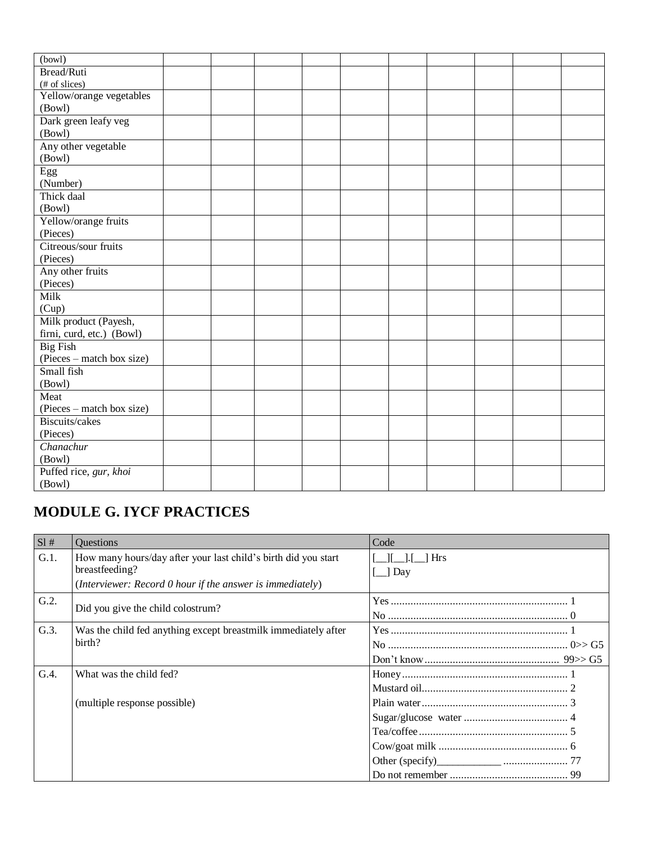| (bowl)                    |  |  |  |  |  |
|---------------------------|--|--|--|--|--|
| Bread/Ruti                |  |  |  |  |  |
| (# of slices)             |  |  |  |  |  |
| Yellow/orange vegetables  |  |  |  |  |  |
| (Bowl)                    |  |  |  |  |  |
| Dark green leafy veg      |  |  |  |  |  |
| (Bowl)                    |  |  |  |  |  |
| Any other vegetable       |  |  |  |  |  |
| (Bowl)                    |  |  |  |  |  |
| Egg                       |  |  |  |  |  |
| (Number)                  |  |  |  |  |  |
| Thick daal                |  |  |  |  |  |
| (Bowl)                    |  |  |  |  |  |
| Yellow/orange fruits      |  |  |  |  |  |
| (Pieces)                  |  |  |  |  |  |
| Citreous/sour fruits      |  |  |  |  |  |
| (Pieces)                  |  |  |  |  |  |
| Any other fruits          |  |  |  |  |  |
| (Pieces)                  |  |  |  |  |  |
| Milk                      |  |  |  |  |  |
| (Cup)                     |  |  |  |  |  |
| Milk product (Payesh,     |  |  |  |  |  |
| firni, curd, etc.) (Bowl) |  |  |  |  |  |
| <b>Big Fish</b>           |  |  |  |  |  |
| (Pieces – match box size) |  |  |  |  |  |
| Small fish                |  |  |  |  |  |
| (Bowl)                    |  |  |  |  |  |
| Meat                      |  |  |  |  |  |
| (Pieces – match box size) |  |  |  |  |  |
| Biscuits/cakes            |  |  |  |  |  |
| (Pieces)                  |  |  |  |  |  |
| Chanachur                 |  |  |  |  |  |
| (Bowl)                    |  |  |  |  |  |
| Puffed rice, gur, khoi    |  |  |  |  |  |
| (Bowl)                    |  |  |  |  |  |

# <span id="page-15-0"></span>**MODULE G. IYCF PRACTICES**

| SI#  | <b>Ouestions</b>                                                                                                                              | Code                     |
|------|-----------------------------------------------------------------------------------------------------------------------------------------------|--------------------------|
| G.1. | How many hours/day after your last child's birth did you start<br>breastfeeding?<br>(Interviewer: Record 0 hour if the answer is immediately) | <b>Hrs</b><br>$\Box$ Day |
| G.2. | Did you give the child colostrum?                                                                                                             |                          |
| G.3. | Was the child fed anything except breastmilk immediately after<br>birth?                                                                      |                          |
| G.4. | What was the child fed?                                                                                                                       |                          |
|      | (multiple response possible)                                                                                                                  |                          |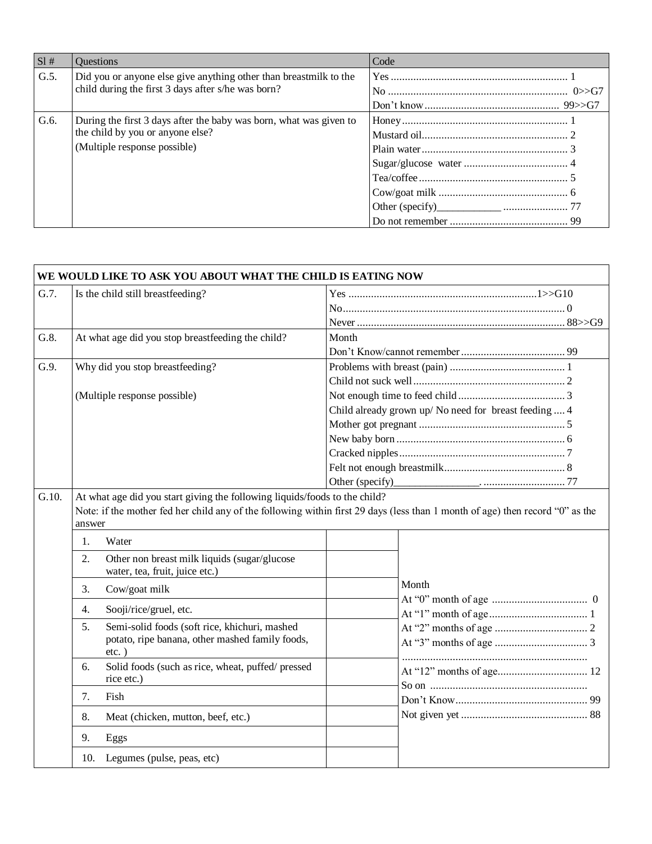| SI#  | <b>Ouestions</b>                                                                                                                       | Code |
|------|----------------------------------------------------------------------------------------------------------------------------------------|------|
| G.5. | Did you or anyone else give anything other than breastmilk to the<br>child during the first 3 days after s/he was born?                |      |
| G.6. | During the first 3 days after the baby was born, what was given to<br>the child by you or anyone else?<br>(Multiple response possible) |      |

|       | WE WOULD LIKE TO ASK YOU ABOUT WHAT THE CHILD IS EATING NOW                                                        |                                                                                                                               |  |  |  |  |
|-------|--------------------------------------------------------------------------------------------------------------------|-------------------------------------------------------------------------------------------------------------------------------|--|--|--|--|
| G.7.  | Is the child still breastfeeding?                                                                                  |                                                                                                                               |  |  |  |  |
|       |                                                                                                                    |                                                                                                                               |  |  |  |  |
|       |                                                                                                                    |                                                                                                                               |  |  |  |  |
| G.8.  | At what age did you stop breastfeeding the child?                                                                  | Month                                                                                                                         |  |  |  |  |
|       |                                                                                                                    |                                                                                                                               |  |  |  |  |
| G.9.  | Why did you stop breastfeeding?                                                                                    |                                                                                                                               |  |  |  |  |
|       |                                                                                                                    |                                                                                                                               |  |  |  |  |
|       | (Multiple response possible)                                                                                       |                                                                                                                               |  |  |  |  |
|       |                                                                                                                    | Child already grown up/No need for breast feeding  4                                                                          |  |  |  |  |
|       |                                                                                                                    |                                                                                                                               |  |  |  |  |
|       |                                                                                                                    |                                                                                                                               |  |  |  |  |
|       |                                                                                                                    |                                                                                                                               |  |  |  |  |
|       |                                                                                                                    |                                                                                                                               |  |  |  |  |
|       |                                                                                                                    |                                                                                                                               |  |  |  |  |
| G.10. | At what age did you start giving the following liquids/foods to the child?<br>answer                               | Note: if the mother fed her child any of the following within first 29 days (less than 1 month of age) then record "0" as the |  |  |  |  |
|       | Water<br>1.                                                                                                        |                                                                                                                               |  |  |  |  |
|       | Other non breast milk liquids (sugar/glucose<br>2.<br>water, tea, fruit, juice etc.)                               |                                                                                                                               |  |  |  |  |
|       | Cow/goat milk<br>3.                                                                                                | Month                                                                                                                         |  |  |  |  |
|       | Sooji/rice/gruel, etc.<br>4.                                                                                       |                                                                                                                               |  |  |  |  |
|       | Semi-solid foods (soft rice, khichuri, mashed<br>5.<br>potato, ripe banana, other mashed family foods,<br>$etc.$ ) |                                                                                                                               |  |  |  |  |
|       | Solid foods (such as rice, wheat, puffed/pressed<br>6.<br>rice etc.)                                               |                                                                                                                               |  |  |  |  |
|       | 7.<br>Fish                                                                                                         |                                                                                                                               |  |  |  |  |
|       | Meat (chicken, mutton, beef, etc.)<br>8.                                                                           |                                                                                                                               |  |  |  |  |
|       | 9.<br>Eggs                                                                                                         |                                                                                                                               |  |  |  |  |
|       | Legumes (pulse, peas, etc)<br>10.                                                                                  |                                                                                                                               |  |  |  |  |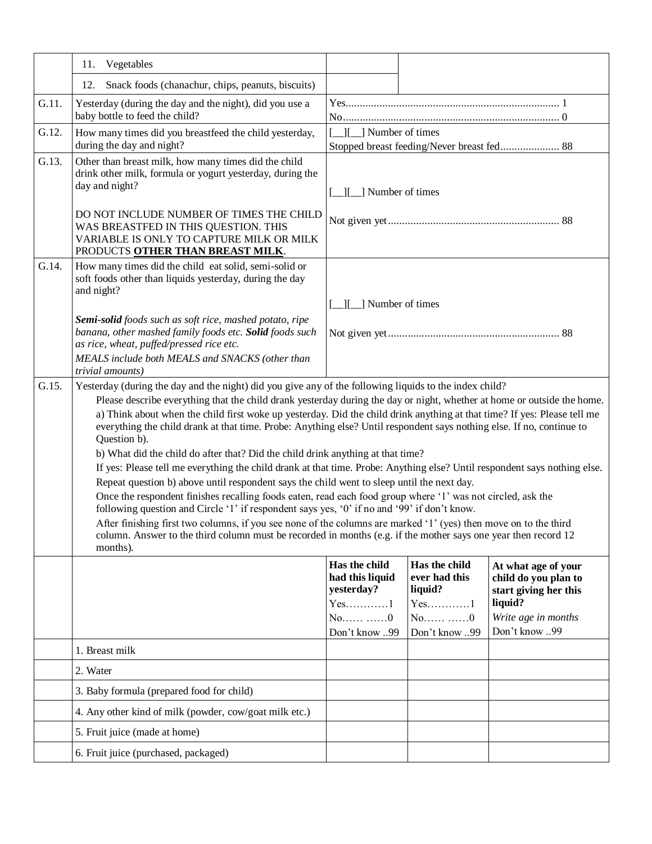|       | Vegetables<br>11.                                                                                                                                                                                                                                                                                                                                                       |                                                                                                                                                                                                                                                                                                                                                                                                                                                                                                                                                                                                                                                                                                                                                                                                                                                                                                                                                                                                                                                                                                                                                                                                                                                          |                                                                                    |                                                                                                                         |  |  |  |
|-------|-------------------------------------------------------------------------------------------------------------------------------------------------------------------------------------------------------------------------------------------------------------------------------------------------------------------------------------------------------------------------|----------------------------------------------------------------------------------------------------------------------------------------------------------------------------------------------------------------------------------------------------------------------------------------------------------------------------------------------------------------------------------------------------------------------------------------------------------------------------------------------------------------------------------------------------------------------------------------------------------------------------------------------------------------------------------------------------------------------------------------------------------------------------------------------------------------------------------------------------------------------------------------------------------------------------------------------------------------------------------------------------------------------------------------------------------------------------------------------------------------------------------------------------------------------------------------------------------------------------------------------------------|------------------------------------------------------------------------------------|-------------------------------------------------------------------------------------------------------------------------|--|--|--|
|       | Snack foods (chanachur, chips, peanuts, biscuits)<br>12.                                                                                                                                                                                                                                                                                                                |                                                                                                                                                                                                                                                                                                                                                                                                                                                                                                                                                                                                                                                                                                                                                                                                                                                                                                                                                                                                                                                                                                                                                                                                                                                          |                                                                                    |                                                                                                                         |  |  |  |
| G.11. | Yesterday (during the day and the night), did you use a<br>baby bottle to feed the child?                                                                                                                                                                                                                                                                               |                                                                                                                                                                                                                                                                                                                                                                                                                                                                                                                                                                                                                                                                                                                                                                                                                                                                                                                                                                                                                                                                                                                                                                                                                                                          |                                                                                    |                                                                                                                         |  |  |  |
| G.12. | How many times did you breastfeed the child yesterday,<br>during the day and night?                                                                                                                                                                                                                                                                                     | [ ][ ] Number of times                                                                                                                                                                                                                                                                                                                                                                                                                                                                                                                                                                                                                                                                                                                                                                                                                                                                                                                                                                                                                                                                                                                                                                                                                                   |                                                                                    | Stopped breast feeding/Never breast fed 88                                                                              |  |  |  |
| G.13. | Other than breast milk, how many times did the child<br>drink other milk, formula or yogurt yesterday, during the<br>day and night?<br>DO NOT INCLUDE NUMBER OF TIMES THE CHILD<br>WAS BREASTFED IN THIS QUESTION. THIS<br>VARIABLE IS ONLY TO CAPTURE MILK OR MILK<br>PRODUCTS OTHER THAN BREAST MILK.                                                                 | I ] Number of times                                                                                                                                                                                                                                                                                                                                                                                                                                                                                                                                                                                                                                                                                                                                                                                                                                                                                                                                                                                                                                                                                                                                                                                                                                      |                                                                                    |                                                                                                                         |  |  |  |
| G.14. | How many times did the child eat solid, semi-solid or<br>soft foods other than liquids yesterday, during the day<br>and night?<br>Semi-solid foods such as soft rice, mashed potato, ripe<br>banana, other mashed family foods etc. Solid foods such<br>as rice, wheat, puffed/pressed rice etc.<br>MEALS include both MEALS and SNACKS (other than<br>trivial amounts) | [ <i>_</i> ][ <i>_</i> ] Number of times                                                                                                                                                                                                                                                                                                                                                                                                                                                                                                                                                                                                                                                                                                                                                                                                                                                                                                                                                                                                                                                                                                                                                                                                                 |                                                                                    |                                                                                                                         |  |  |  |
| G.15. | Question b).<br>months).                                                                                                                                                                                                                                                                                                                                                | Yesterday (during the day and the night) did you give any of the following liquids to the index child?<br>Please describe everything that the child drank yesterday during the day or night, whether at home or outside the home.<br>a) Think about when the child first woke up yesterday. Did the child drink anything at that time? If yes: Please tell me<br>everything the child drank at that time. Probe: Anything else? Until respondent says nothing else. If no, continue to<br>b) What did the child do after that? Did the child drink anything at that time?<br>If yes: Please tell me everything the child drank at that time. Probe: Anything else? Until respondent says nothing else.<br>Repeat question b) above until respondent says the child went to sleep until the next day.<br>Once the respondent finishes recalling foods eaten, read each food group where '1' was not circled, ask the<br>following question and Circle '1' if respondent says yes, '0' if no and '99' if don't know.<br>After finishing first two columns, if you see none of the columns are marked '1' (yes) then move on to the third<br>column. Answer to the third column must be recorded in months (e.g. if the mother says one year then record 12 |                                                                                    |                                                                                                                         |  |  |  |
|       |                                                                                                                                                                                                                                                                                                                                                                         | Has the child<br>had this liquid<br>yesterday?<br>$Yes$ 1<br>$No$ 0<br>Don't know 99                                                                                                                                                                                                                                                                                                                                                                                                                                                                                                                                                                                                                                                                                                                                                                                                                                                                                                                                                                                                                                                                                                                                                                     | Has the child<br>ever had this<br>liquid?<br>$Yes.$ 1<br>$No$ $0$<br>Don't know 99 | At what age of your<br>child do you plan to<br>start giving her this<br>liquid?<br>Write age in months<br>Don't know 99 |  |  |  |
|       | 1. Breast milk                                                                                                                                                                                                                                                                                                                                                          |                                                                                                                                                                                                                                                                                                                                                                                                                                                                                                                                                                                                                                                                                                                                                                                                                                                                                                                                                                                                                                                                                                                                                                                                                                                          |                                                                                    |                                                                                                                         |  |  |  |
|       | 2. Water                                                                                                                                                                                                                                                                                                                                                                |                                                                                                                                                                                                                                                                                                                                                                                                                                                                                                                                                                                                                                                                                                                                                                                                                                                                                                                                                                                                                                                                                                                                                                                                                                                          |                                                                                    |                                                                                                                         |  |  |  |
|       | 3. Baby formula (prepared food for child)                                                                                                                                                                                                                                                                                                                               |                                                                                                                                                                                                                                                                                                                                                                                                                                                                                                                                                                                                                                                                                                                                                                                                                                                                                                                                                                                                                                                                                                                                                                                                                                                          |                                                                                    |                                                                                                                         |  |  |  |
|       | 4. Any other kind of milk (powder, cow/goat milk etc.)                                                                                                                                                                                                                                                                                                                  |                                                                                                                                                                                                                                                                                                                                                                                                                                                                                                                                                                                                                                                                                                                                                                                                                                                                                                                                                                                                                                                                                                                                                                                                                                                          |                                                                                    |                                                                                                                         |  |  |  |
|       | 5. Fruit juice (made at home)                                                                                                                                                                                                                                                                                                                                           |                                                                                                                                                                                                                                                                                                                                                                                                                                                                                                                                                                                                                                                                                                                                                                                                                                                                                                                                                                                                                                                                                                                                                                                                                                                          |                                                                                    |                                                                                                                         |  |  |  |
|       | 6. Fruit juice (purchased, packaged)                                                                                                                                                                                                                                                                                                                                    |                                                                                                                                                                                                                                                                                                                                                                                                                                                                                                                                                                                                                                                                                                                                                                                                                                                                                                                                                                                                                                                                                                                                                                                                                                                          |                                                                                    |                                                                                                                         |  |  |  |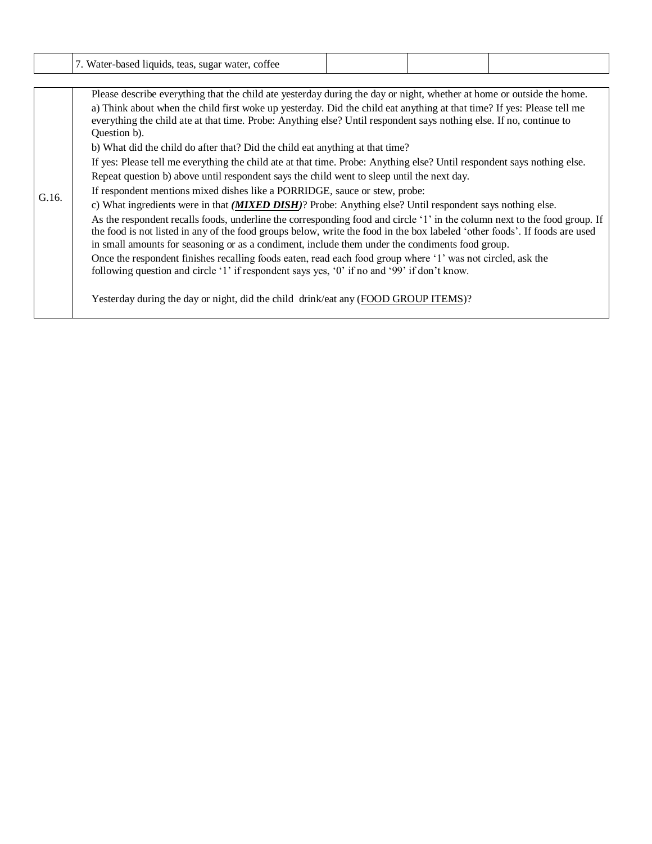|       | 7. Water-based liquids, teas, sugar water, coffee                                                                                                                                                                                                                                                                                                          |                                                                                                                       |  |  |  |  |  |  |  |
|-------|------------------------------------------------------------------------------------------------------------------------------------------------------------------------------------------------------------------------------------------------------------------------------------------------------------------------------------------------------------|-----------------------------------------------------------------------------------------------------------------------|--|--|--|--|--|--|--|
|       |                                                                                                                                                                                                                                                                                                                                                            |                                                                                                                       |  |  |  |  |  |  |  |
|       |                                                                                                                                                                                                                                                                                                                                                            | Please describe everything that the child ate yesterday during the day or night, whether at home or outside the home. |  |  |  |  |  |  |  |
|       | a) Think about when the child first woke up yesterday. Did the child eat anything at that time? If yes: Please tell me<br>everything the child ate at that time. Probe: Anything else? Until respondent says nothing else. If no, continue to<br>Question b).                                                                                              |                                                                                                                       |  |  |  |  |  |  |  |
|       | b) What did the child do after that? Did the child eat anything at that time?                                                                                                                                                                                                                                                                              |                                                                                                                       |  |  |  |  |  |  |  |
|       | If yes: Please tell me everything the child ate at that time. Probe: Anything else? Until respondent says nothing else.                                                                                                                                                                                                                                    |                                                                                                                       |  |  |  |  |  |  |  |
|       | Repeat question b) above until respondent says the child went to sleep until the next day.                                                                                                                                                                                                                                                                 |                                                                                                                       |  |  |  |  |  |  |  |
| G.16. | If respondent mentions mixed dishes like a PORRIDGE, sauce or stew, probe:                                                                                                                                                                                                                                                                                 |                                                                                                                       |  |  |  |  |  |  |  |
|       | c) What ingredients were in that <i>(MIXED DISH)</i> ? Probe: Anything else? Until respondent says nothing else.                                                                                                                                                                                                                                           |                                                                                                                       |  |  |  |  |  |  |  |
|       | As the respondent recalls foods, underline the corresponding food and circle '1' in the column next to the food group. If<br>the food is not listed in any of the food groups below, write the food in the box labeled 'other foods'. If foods are used<br>in small amounts for seasoning or as a condiment, include them under the condiments food group. |                                                                                                                       |  |  |  |  |  |  |  |
|       | Once the respondent finishes recalling foods eaten, read each food group where '1' was not circled, ask the<br>following question and circle '1' if respondent says yes, '0' if no and '99' if don't know.                                                                                                                                                 |                                                                                                                       |  |  |  |  |  |  |  |
|       | Yesterday during the day or night, did the child drink/eat any (FOOD GROUP ITEMS)?                                                                                                                                                                                                                                                                         |                                                                                                                       |  |  |  |  |  |  |  |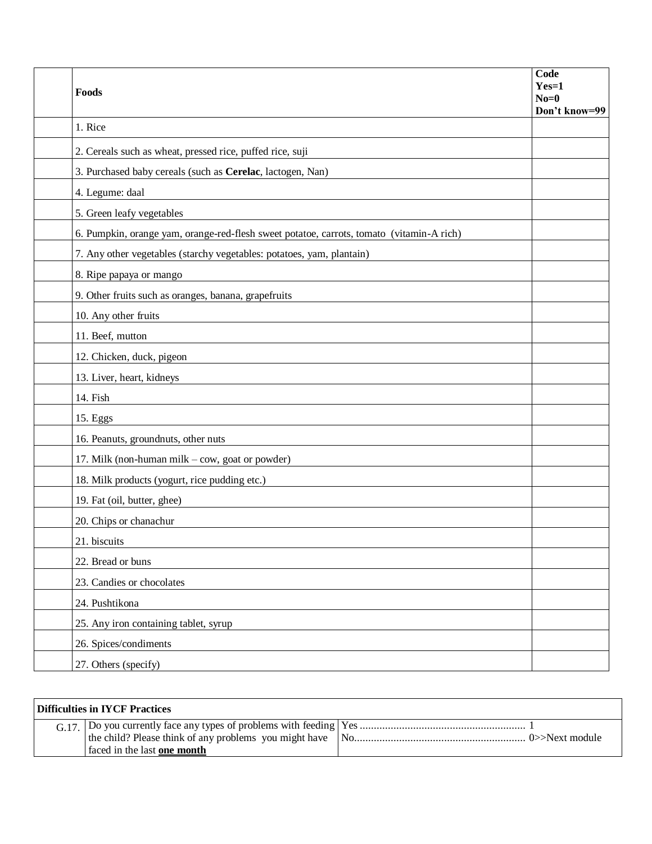| Foods                                                                                    | Code<br>$Yes=1$<br>$No=0$ |
|------------------------------------------------------------------------------------------|---------------------------|
| 1. Rice                                                                                  | Don't know=99             |
| 2. Cereals such as wheat, pressed rice, puffed rice, suji                                |                           |
| 3. Purchased baby cereals (such as Cerelac, lactogen, Nan)                               |                           |
| 4. Legume: daal                                                                          |                           |
| 5. Green leafy vegetables                                                                |                           |
| 6. Pumpkin, orange yam, orange-red-flesh sweet potatoe, carrots, tomato (vitamin-A rich) |                           |
| 7. Any other vegetables (starchy vegetables: potatoes, yam, plantain)                    |                           |
| 8. Ripe papaya or mango                                                                  |                           |
| 9. Other fruits such as oranges, banana, grapefruits                                     |                           |
| 10. Any other fruits                                                                     |                           |
| 11. Beef, mutton                                                                         |                           |
| 12. Chicken, duck, pigeon                                                                |                           |
| 13. Liver, heart, kidneys                                                                |                           |
| 14. Fish                                                                                 |                           |
| 15. Eggs                                                                                 |                           |
| 16. Peanuts, groundnuts, other nuts                                                      |                           |
| 17. Milk (non-human milk - cow, goat or powder)                                          |                           |
| 18. Milk products (yogurt, rice pudding etc.)                                            |                           |
| 19. Fat (oil, butter, ghee)                                                              |                           |
| 20. Chips or chanachur                                                                   |                           |
| 21. biscuits                                                                             |                           |
| 22. Bread or buns                                                                        |                           |
| 23. Candies or chocolates                                                                |                           |
| 24. Pushtikona                                                                           |                           |
| 25. Any iron containing tablet, syrup                                                    |                           |
| 26. Spices/condiments                                                                    |                           |
| 27. Others (specify)                                                                     |                           |

| $\mid$ Difficulties in IYCF Practices |                             |  |
|---------------------------------------|-----------------------------|--|
|                                       | faced in the last one month |  |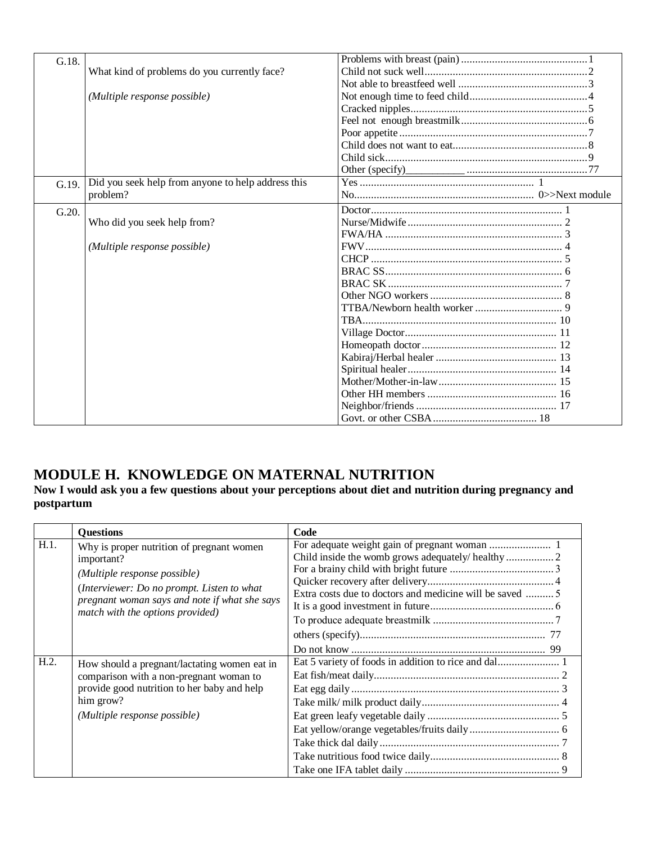| G.18. |                                                    |  |
|-------|----------------------------------------------------|--|
|       | What kind of problems do you currently face?       |  |
|       |                                                    |  |
|       | (Multiple response possible)                       |  |
|       |                                                    |  |
|       |                                                    |  |
|       |                                                    |  |
|       |                                                    |  |
|       |                                                    |  |
|       |                                                    |  |
| G.19. | Did you seek help from anyone to help address this |  |
|       | problem?                                           |  |
| G.20. |                                                    |  |
|       | Who did you seek help from?                        |  |
|       |                                                    |  |
|       | (Multiple response possible)                       |  |
|       |                                                    |  |
|       |                                                    |  |
|       |                                                    |  |
|       |                                                    |  |
|       |                                                    |  |
|       |                                                    |  |
|       |                                                    |  |
|       |                                                    |  |
|       |                                                    |  |
|       |                                                    |  |
|       |                                                    |  |
|       |                                                    |  |
|       |                                                    |  |
|       |                                                    |  |

### <span id="page-20-0"></span>**MODULE H. KNOWLEDGE ON MATERNAL NUTRITION**

#### **Now I would ask you a few questions about your perceptions about diet and nutrition during pregnancy and postpartum**

|      | <b>Questions</b>                                                                                                                                                                                                           | Code                                                    |
|------|----------------------------------------------------------------------------------------------------------------------------------------------------------------------------------------------------------------------------|---------------------------------------------------------|
| H.1. | Why is proper nutrition of pregnant women<br>important?<br>(Multiple response possible)<br>(Interviewer: Do no prompt. Listen to what<br>pregnant woman says and note if what she says<br>match with the options provided) | Extra costs due to doctors and medicine will be saved 5 |
| H.2. | How should a pregnant/lactating women eat in<br>comparison with a non-pregnant woman to<br>provide good nutrition to her baby and help<br>him grow?<br>(Multiple response possible)                                        |                                                         |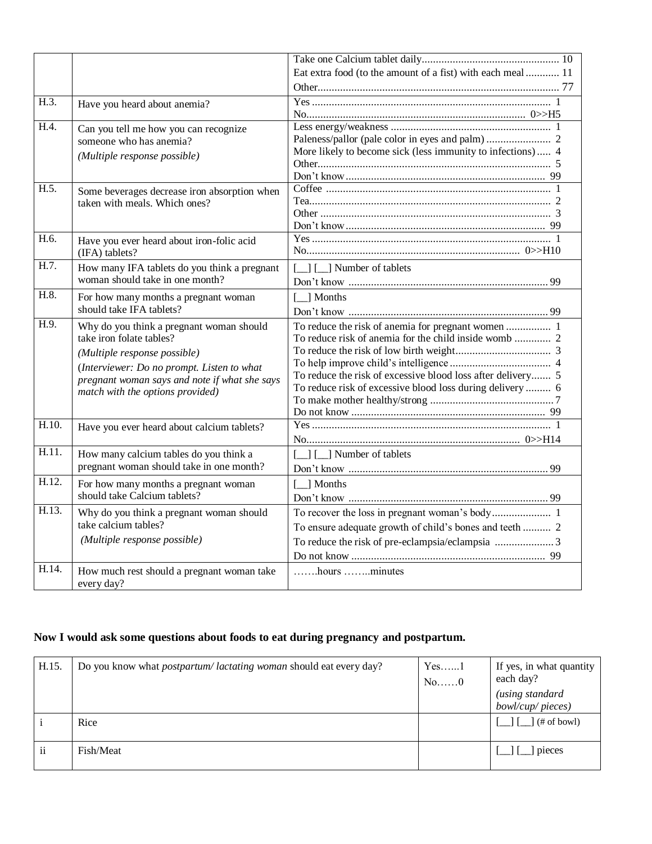|       |                                                                                                                                                                                                                                         | Eat extra food (to the amount of a fist) with each meal  11                                                              |
|-------|-----------------------------------------------------------------------------------------------------------------------------------------------------------------------------------------------------------------------------------------|--------------------------------------------------------------------------------------------------------------------------|
|       |                                                                                                                                                                                                                                         |                                                                                                                          |
| H.3.  | Have you heard about anemia?                                                                                                                                                                                                            |                                                                                                                          |
|       |                                                                                                                                                                                                                                         |                                                                                                                          |
| H.4.  | Can you tell me how you can recognize<br>someone who has anemia?<br>(Multiple response possible)                                                                                                                                        | More likely to become sick (less immunity to infections) 4                                                               |
| H.5.  | Some beverages decrease iron absorption when<br>taken with meals. Which ones?                                                                                                                                                           |                                                                                                                          |
| H.6.  | Have you ever heard about iron-folic acid<br>(IFA) tablets?                                                                                                                                                                             |                                                                                                                          |
| H.7.  | How many IFA tablets do you think a pregnant<br>woman should take in one month?                                                                                                                                                         | [ ] [ ] Number of tablets                                                                                                |
| H.8.  | For how many months a pregnant woman<br>should take IFA tablets?                                                                                                                                                                        | $\left[\_\_\right]$ Months                                                                                               |
| H.9.  | Why do you think a pregnant woman should<br>take iron folate tables?<br>(Multiple response possible)<br>(Interviewer: Do no prompt. Listen to what<br>pregnant woman says and note if what she says<br>match with the options provided) | To reduce the risk of excessive blood loss after delivery 5<br>To reduce risk of excessive blood loss during delivery  6 |
| H.10. | Have you ever heard about calcium tablets?                                                                                                                                                                                              |                                                                                                                          |
| H.11. | How many calcium tables do you think a<br>pregnant woman should take in one month?                                                                                                                                                      | $\Box$ [ $\Box$ ] Number of tablets                                                                                      |
| H.12. | For how many months a pregnant woman<br>should take Calcium tablets?                                                                                                                                                                    | [_] Months                                                                                                               |
| H.13. | Why do you think a pregnant woman should<br>take calcium tables?<br>(Multiple response possible)                                                                                                                                        | To ensure adequate growth of child's bones and teeth  2                                                                  |
| H.14. | How much rest should a pregnant woman take<br>every day?                                                                                                                                                                                | hours minutes                                                                                                            |

### **Now I would ask some questions about foods to eat during pregnancy and postpartum.**

| H.15.              | Do you know what <i>postpartum</i> /lactating woman should eat every day? | $Yes. \dots .1$<br>No0 | If yes, in what quantity<br>each day?<br>(using standard<br>bowl/cup/pieces) |
|--------------------|---------------------------------------------------------------------------|------------------------|------------------------------------------------------------------------------|
|                    | Rice                                                                      |                        | $(\# \text{ of bowl})$                                                       |
| $\cdot\cdot$<br>11 | Fish/Meat                                                                 |                        | pieces                                                                       |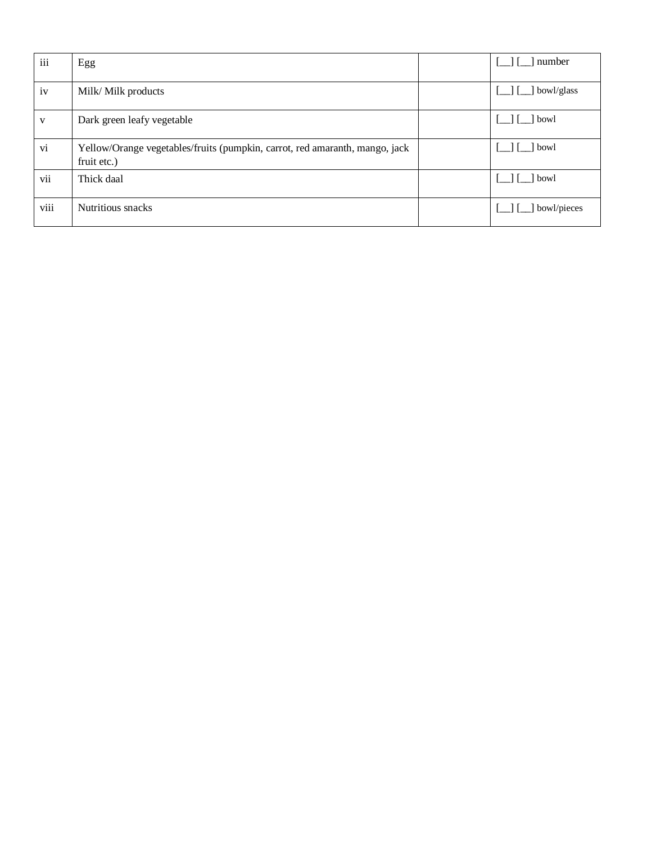| iii  | Egg                                                                                        | number       |
|------|--------------------------------------------------------------------------------------------|--------------|
| iv   | Milk/ Milk products                                                                        | ] bowl/glass |
| V    | Dark green leafy vegetable                                                                 | 1 bowl       |
| vi   | Yellow/Orange vegetables/fruits (pumpkin, carrot, red amaranth, mango, jack<br>fruit etc.) | 1 bowl       |
| vii  | Thick daal                                                                                 | l bowl       |
| viii | Nutritious snacks                                                                          | bowl/pieces  |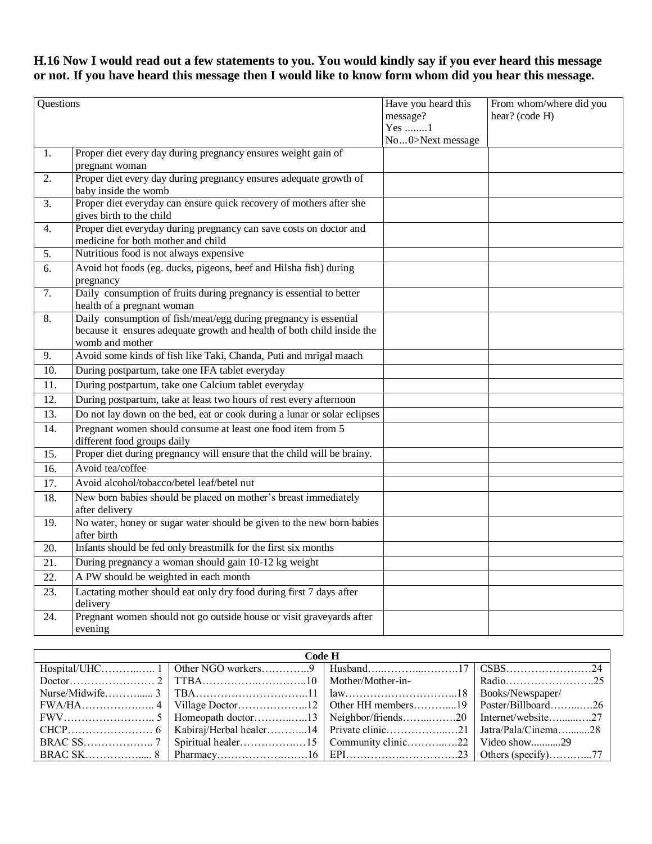### **H.16 Now I would read out a few statements to you. You would kindly say if you ever heard this message or not. If you have heard this message then I would like to know form whom did you hear this message.**

| Questions         |                                                                                                                                                               | Have you heard this<br>message? | From whom/where did you<br>hear? (code H) |
|-------------------|---------------------------------------------------------------------------------------------------------------------------------------------------------------|---------------------------------|-------------------------------------------|
|                   |                                                                                                                                                               | Yes 1<br>No0>Next message       |                                           |
| 1.                | Proper diet every day during pregnancy ensures weight gain of<br>pregnant woman                                                                               |                                 |                                           |
| 2.                | Proper diet every day during pregnancy ensures adequate growth of<br>baby inside the womb                                                                     |                                 |                                           |
| 3.                | Proper diet everyday can ensure quick recovery of mothers after she<br>gives birth to the child                                                               |                                 |                                           |
| $\overline{4}$ .  | Proper diet everyday during pregnancy can save costs on doctor and<br>medicine for both mother and child                                                      |                                 |                                           |
| 5.                | Nutritious food is not always expensive                                                                                                                       |                                 |                                           |
| 6.                | Avoid hot foods (eg. ducks, pigeons, beef and Hilsha fish) during<br>pregnancy                                                                                |                                 |                                           |
| $\overline{7}$ .  | Daily consumption of fruits during pregnancy is essential to better<br>health of a pregnant woman                                                             |                                 |                                           |
| 8.                | Daily consumption of fish/meat/egg during pregnancy is essential<br>because it ensures adequate growth and health of both child inside the<br>womb and mother |                                 |                                           |
| 9.                | Avoid some kinds of fish like Taki, Chanda, Puti and mrigal maach                                                                                             |                                 |                                           |
| 10.               | During postpartum, take one IFA tablet everyday                                                                                                               |                                 |                                           |
| 11.               | During postpartum, take one Calcium tablet everyday                                                                                                           |                                 |                                           |
| $\overline{12}$ . | During postpartum, take at least two hours of rest every afternoon                                                                                            |                                 |                                           |
| 13.               | Do not lay down on the bed, eat or cook during a lunar or solar eclipses                                                                                      |                                 |                                           |
| 14.               | Pregnant women should consume at least one food item from 5<br>different food groups daily                                                                    |                                 |                                           |
| $\overline{15}$ . | Proper diet during pregnancy will ensure that the child will be brainy.                                                                                       |                                 |                                           |
| 16.               | Avoid tea/coffee                                                                                                                                              |                                 |                                           |
| 17.               | Avoid alcohol/tobacco/betel leaf/betel nut                                                                                                                    |                                 |                                           |
| 18.               | New born babies should be placed on mother's breast immediately<br>after delivery                                                                             |                                 |                                           |
| 19.               | No water, honey or sugar water should be given to the new born babies<br>after birth                                                                          |                                 |                                           |
| 20.               | Infants should be fed only breastmilk for the first six months                                                                                                |                                 |                                           |
| $\overline{21}$ . | During pregnancy a woman should gain 10-12 kg weight                                                                                                          |                                 |                                           |
| 22.               | A PW should be weighted in each month                                                                                                                         |                                 |                                           |
| 23.               | Lactating mother should eat only dry food during first 7 days after<br>delivery                                                                               |                                 |                                           |
| 24.               | Pregnant women should not go outside house or visit graveyards after<br>evening                                                                               |                                 |                                           |

| Code H |  |  |  |  |
|--------|--|--|--|--|
|        |  |  |  |  |
|        |  |  |  |  |
|        |  |  |  |  |
|        |  |  |  |  |
|        |  |  |  |  |
|        |  |  |  |  |
|        |  |  |  |  |
|        |  |  |  |  |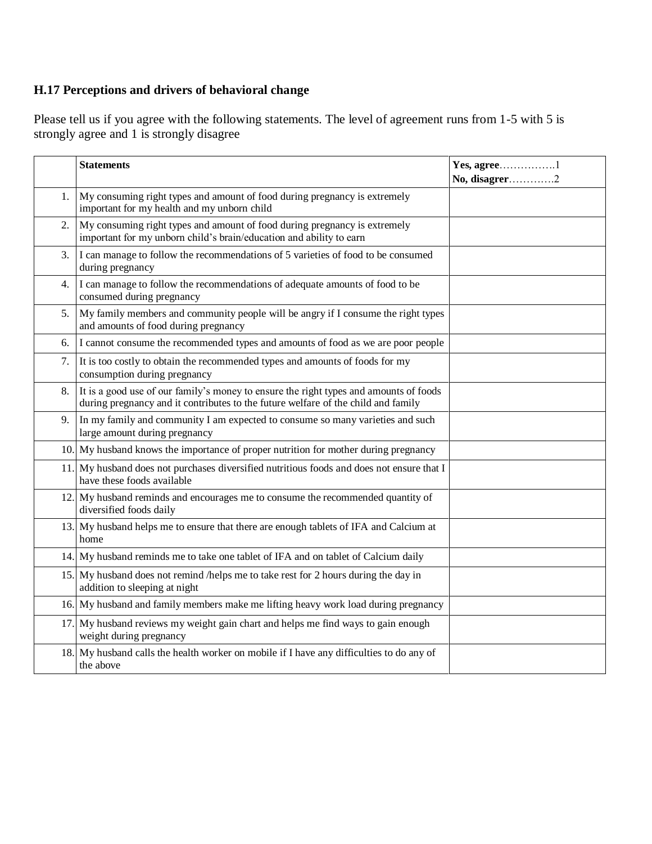### **H.17 Perceptions and drivers of behavioral change**

Please tell us if you agree with the following statements. The level of agreement runs from 1-5 with 5 is strongly agree and 1 is strongly disagree

|    | <b>Statements</b>                                                                                                                                                          | Yes, agree1<br>No, disagrer2 |
|----|----------------------------------------------------------------------------------------------------------------------------------------------------------------------------|------------------------------|
| 1. | My consuming right types and amount of food during pregnancy is extremely<br>important for my health and my unborn child                                                   |                              |
| 2. | My consuming right types and amount of food during pregnancy is extremely<br>important for my unborn child's brain/education and ability to earn                           |                              |
| 3. | I can manage to follow the recommendations of 5 varieties of food to be consumed<br>during pregnancy                                                                       |                              |
| 4. | I can manage to follow the recommendations of adequate amounts of food to be<br>consumed during pregnancy                                                                  |                              |
| 5. | My family members and community people will be angry if I consume the right types<br>and amounts of food during pregnancy                                                  |                              |
| 6. | I cannot consume the recommended types and amounts of food as we are poor people                                                                                           |                              |
| 7. | It is too costly to obtain the recommended types and amounts of foods for my<br>consumption during pregnancy                                                               |                              |
| 8. | It is a good use of our family's money to ensure the right types and amounts of foods<br>during pregnancy and it contributes to the future welfare of the child and family |                              |
| 9. | In my family and community I am expected to consume so many varieties and such<br>large amount during pregnancy                                                            |                              |
|    | 10. My husband knows the importance of proper nutrition for mother during pregnancy                                                                                        |                              |
|    | 11. My husband does not purchases diversified nutritious foods and does not ensure that I<br>have these foods available                                                    |                              |
|    | 12. My husband reminds and encourages me to consume the recommended quantity of<br>diversified foods daily                                                                 |                              |
|    | 13. My husband helps me to ensure that there are enough tablets of IFA and Calcium at<br>home                                                                              |                              |
|    | 14. My husband reminds me to take one tablet of IFA and on tablet of Calcium daily                                                                                         |                              |
|    | 15. My husband does not remind /helps me to take rest for 2 hours during the day in<br>addition to sleeping at night                                                       |                              |
|    | 16. My husband and family members make me lifting heavy work load during pregnancy                                                                                         |                              |
|    | 17. My husband reviews my weight gain chart and helps me find ways to gain enough<br>weight during pregnancy                                                               |                              |
|    | 18. My husband calls the health worker on mobile if I have any difficulties to do any of<br>the above                                                                      |                              |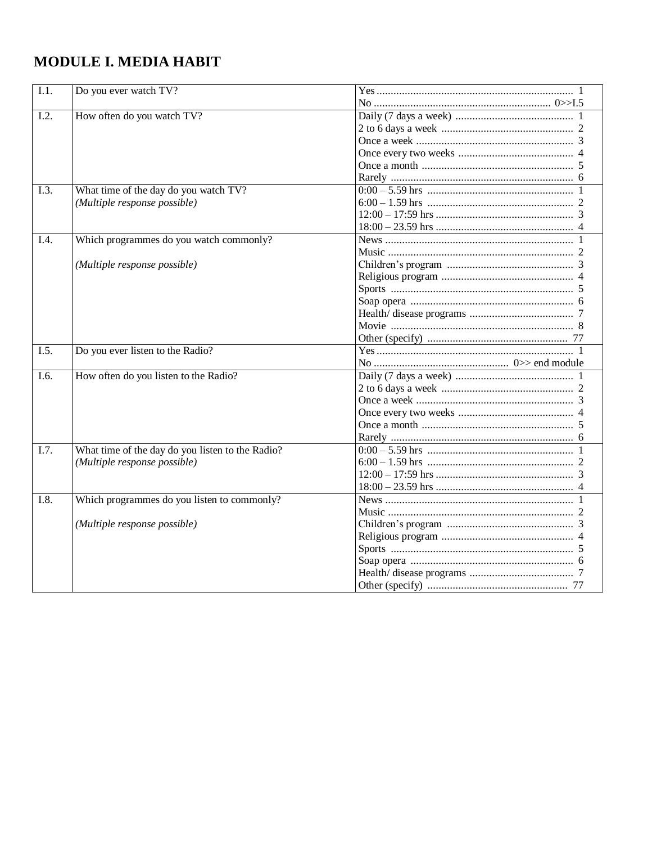## <span id="page-25-0"></span>**MODULE I. MEDIA HABIT**

| $\overline{1.1}$ . | Do you ever watch TV?                            |  |
|--------------------|--------------------------------------------------|--|
|                    |                                                  |  |
| I.2.               | How often do you watch TV?                       |  |
|                    |                                                  |  |
|                    |                                                  |  |
|                    |                                                  |  |
|                    |                                                  |  |
|                    |                                                  |  |
| I.3.               | What time of the day do you watch TV?            |  |
|                    | (Multiple response possible)                     |  |
|                    |                                                  |  |
|                    |                                                  |  |
| I.4.               | Which programmes do you watch commonly?          |  |
|                    |                                                  |  |
|                    | (Multiple response possible)                     |  |
|                    |                                                  |  |
|                    |                                                  |  |
|                    |                                                  |  |
|                    |                                                  |  |
|                    |                                                  |  |
|                    |                                                  |  |
| I.5.               | Do you ever listen to the Radio?                 |  |
|                    |                                                  |  |
| I.6.               | How often do you listen to the Radio?            |  |
|                    |                                                  |  |
|                    |                                                  |  |
|                    |                                                  |  |
|                    |                                                  |  |
|                    |                                                  |  |
| I.7.               | What time of the day do you listen to the Radio? |  |
|                    | (Multiple response possible)                     |  |
|                    |                                                  |  |
|                    |                                                  |  |
| I.8.               | Which programmes do you listen to commonly?      |  |
|                    |                                                  |  |
|                    | (Multiple response possible)                     |  |
|                    |                                                  |  |
|                    |                                                  |  |
|                    |                                                  |  |
|                    |                                                  |  |
|                    |                                                  |  |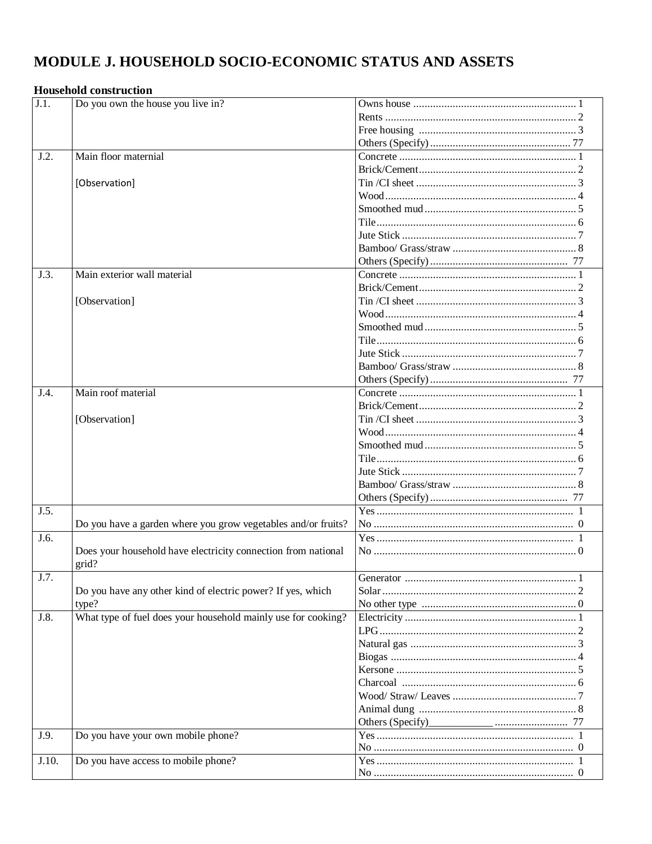## <span id="page-26-0"></span>MODULE J. HOUSEHOLD SOCIO-ECONOMIC STATUS AND ASSETS

### **Household construction**

| $\overline{J.1}$ . | Do you own the house you live in?                             |  |
|--------------------|---------------------------------------------------------------|--|
|                    |                                                               |  |
|                    |                                                               |  |
|                    |                                                               |  |
| J.2.               | Main floor maternial                                          |  |
|                    |                                                               |  |
|                    | [Observation]                                                 |  |
|                    |                                                               |  |
|                    |                                                               |  |
|                    |                                                               |  |
|                    |                                                               |  |
|                    |                                                               |  |
|                    |                                                               |  |
| J.3.               | Main exterior wall material                                   |  |
|                    |                                                               |  |
|                    | [Observation]                                                 |  |
|                    |                                                               |  |
|                    |                                                               |  |
|                    |                                                               |  |
|                    |                                                               |  |
|                    |                                                               |  |
|                    |                                                               |  |
| J.4.               | Main roof material                                            |  |
|                    |                                                               |  |
|                    |                                                               |  |
|                    | [Observation]                                                 |  |
|                    |                                                               |  |
|                    |                                                               |  |
|                    |                                                               |  |
|                    |                                                               |  |
|                    |                                                               |  |
|                    |                                                               |  |
| J.5.               |                                                               |  |
|                    | Do you have a garden where you grow vegetables and/or fruits? |  |
| J.6.               |                                                               |  |
|                    | Does your household have electricity connection from national |  |
|                    | grid?                                                         |  |
| J.7.               |                                                               |  |
|                    | Do you have any other kind of electric power? If yes, which   |  |
|                    | type?                                                         |  |
| J.8.               | What type of fuel does your household mainly use for cooking? |  |
|                    |                                                               |  |
|                    |                                                               |  |
|                    |                                                               |  |
|                    |                                                               |  |
|                    |                                                               |  |
|                    |                                                               |  |
|                    |                                                               |  |
|                    |                                                               |  |
| J.9.               | Do you have your own mobile phone?                            |  |
|                    |                                                               |  |
| J.10.              | Do you have access to mobile phone?                           |  |
|                    |                                                               |  |
|                    |                                                               |  |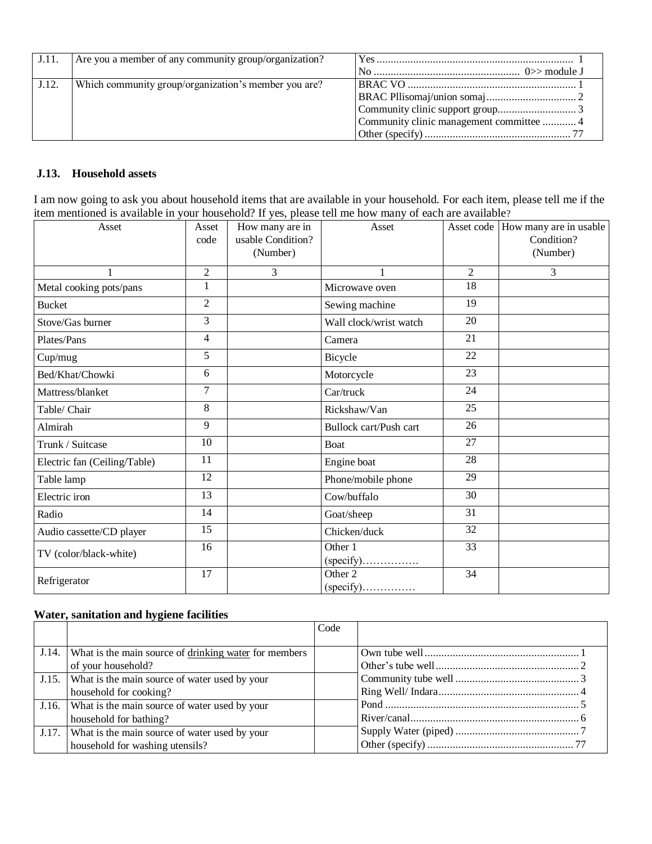| J.11. | Are you a member of any community group/organization? |                                          |
|-------|-------------------------------------------------------|------------------------------------------|
|       |                                                       |                                          |
| J.12. | Which community group/organization's member you are?  |                                          |
|       |                                                       |                                          |
|       |                                                       |                                          |
|       |                                                       | Community clinic management committee  4 |
|       |                                                       |                                          |

#### **J.13. Household assets**

I am now going to ask you about household items that are available in your household. For each item, please tell me if the item mentioned is available in your household? If yes, please tell me how many of each are available?

| Asset                        | Asset<br>code            | How many are in<br>usable Condition?<br>(Number) | Asset                  |                 | Asset code   How many are in usable<br>Condition?<br>(Number) |
|------------------------------|--------------------------|--------------------------------------------------|------------------------|-----------------|---------------------------------------------------------------|
|                              | $\overline{2}$           | 3                                                | 1                      | $\overline{2}$  | 3                                                             |
| Metal cooking pots/pans      | 1                        |                                                  | Microwave oven         | $\overline{18}$ |                                                               |
| <b>Bucket</b>                | $\overline{2}$           |                                                  | Sewing machine         | 19              |                                                               |
| Stove/Gas burner             | 3                        |                                                  | Wall clock/wrist watch | 20              |                                                               |
| Plates/Pans                  | $\overline{\mathcal{L}}$ |                                                  | Camera                 | 21              |                                                               |
| Cup/mug                      | 5                        |                                                  | Bicycle                | 22              |                                                               |
| Bed/Khat/Chowki              | 6                        |                                                  | Motorcycle             | 23              |                                                               |
| Mattress/blanket             | $\overline{7}$           |                                                  | Car/truck              | 24              |                                                               |
| Table/ Chair                 | 8                        |                                                  | Rickshaw/Van           | 25              |                                                               |
| Almirah                      | 9                        |                                                  | Bullock cart/Push cart | 26              |                                                               |
| Trunk / Suitcase             | 10                       |                                                  | <b>Boat</b>            | 27              |                                                               |
| Electric fan (Ceiling/Table) | 11                       |                                                  | Engine boat            | 28              |                                                               |
| Table lamp                   | 12                       |                                                  | Phone/mobile phone     | 29              |                                                               |
| Electric iron                | 13                       |                                                  | Cow/buffalo            | 30              |                                                               |
| Radio                        | 14                       |                                                  | Goat/sheep             | 31              |                                                               |
| Audio cassette/CD player     | 15                       |                                                  | Chicken/duck           | 32              |                                                               |
| TV (color/black-white)       | 16                       |                                                  | Other 1                | 33              |                                                               |
| Refrigerator                 | 17                       |                                                  | Other 2                | 34              |                                                               |

#### **Water, sanitation and hygiene facilities**

|                                                             | Code |  |
|-------------------------------------------------------------|------|--|
|                                                             |      |  |
| J.14. What is the main source of drinking water for members |      |  |
| of your household?                                          |      |  |
| J.15. What is the main source of water used by your         |      |  |
| household for cooking?                                      |      |  |
| J.16. What is the main source of water used by your         |      |  |
| household for bathing?                                      |      |  |
| J.17. What is the main source of water used by your         |      |  |
| household for washing utensils?                             |      |  |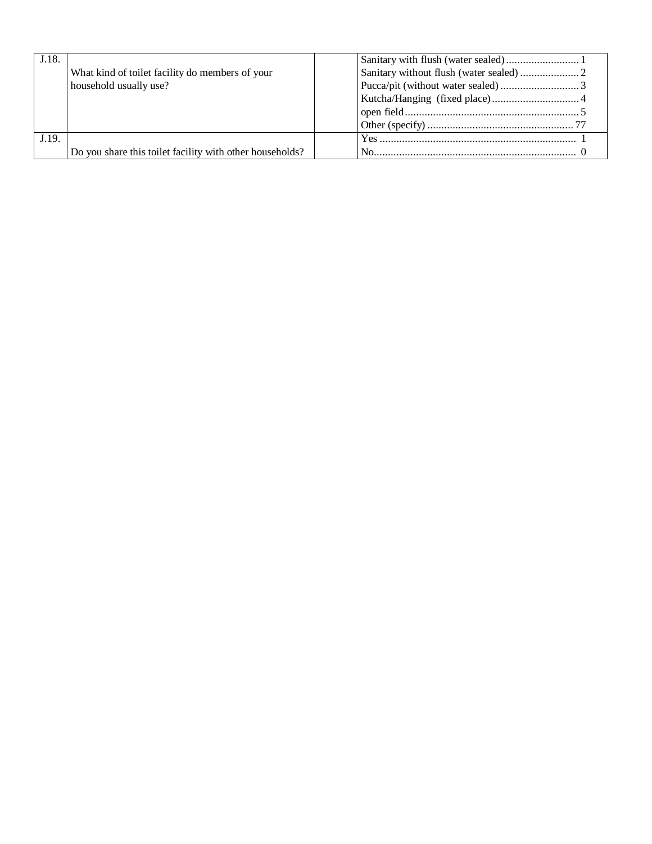| J.18. |                                                          |  |
|-------|----------------------------------------------------------|--|
|       | What kind of toilet facility do members of your          |  |
|       | household usually use?                                   |  |
|       |                                                          |  |
|       |                                                          |  |
|       |                                                          |  |
| J.19. |                                                          |  |
|       | Do you share this toilet facility with other households? |  |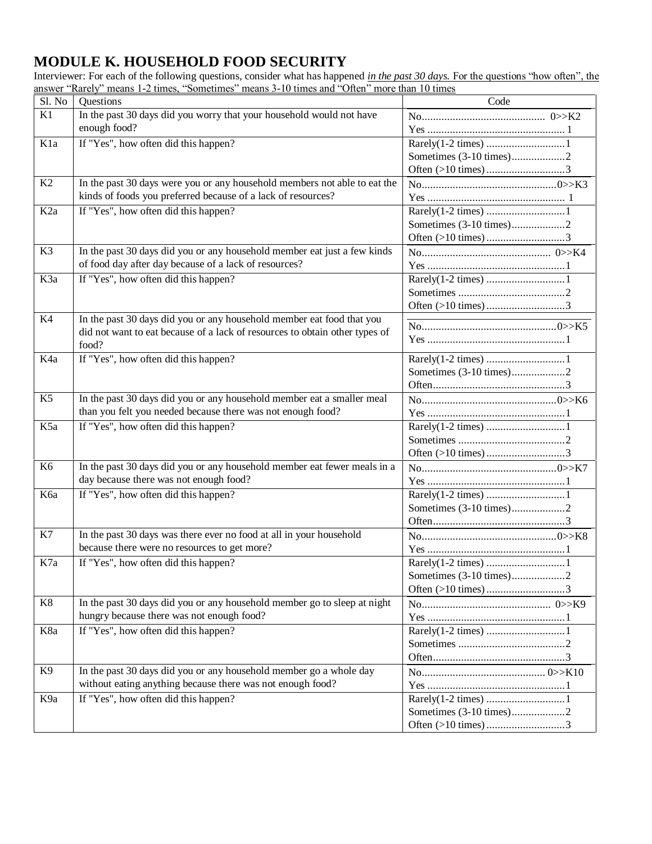## <span id="page-29-0"></span>**MODULE K. HOUSEHOLD FOOD SECURITY**

Interviewer: For each of the following questions, consider what has happened *in the past 30 days.* For the questions "how often", the answer "Rarely" means 1-2 times, "Sometimes" means 3-10 times and "Often" more than 10 times

| Sl. No           | Questions                                                                   | Code                          |
|------------------|-----------------------------------------------------------------------------|-------------------------------|
| K1               | In the past 30 days did you worry that your household would not have        |                               |
|                  | enough food?                                                                |                               |
| K <sub>1</sub> a | If "Yes", how often did this happen?                                        |                               |
|                  |                                                                             | Sometimes (3-10 times)2       |
|                  |                                                                             |                               |
| K2               | In the past 30 days were you or any household members not able to eat the   |                               |
|                  | kinds of foods you preferred because of a lack of resources?                |                               |
| K <sub>2a</sub>  | If "Yes", how often did this happen?                                        |                               |
|                  |                                                                             | Sometimes (3-10 times)2       |
|                  |                                                                             | Often $(>10 \text{ times})$ 3 |
| K3               | In the past 30 days did you or any household member eat just a few kinds    |                               |
|                  | of food day after day because of a lack of resources?                       |                               |
| K3a              | If "Yes", how often did this happen?                                        |                               |
|                  |                                                                             |                               |
|                  |                                                                             |                               |
| K4               | In the past 30 days did you or any household member eat food that you       |                               |
|                  | did not want to eat because of a lack of resources to obtain other types of |                               |
|                  | food?                                                                       |                               |
| K4a              | If "Yes", how often did this happen?                                        |                               |
|                  |                                                                             | Sometimes (3-10 times)2       |
|                  |                                                                             |                               |
| K <sub>5</sub>   | In the past 30 days did you or any household member eat a smaller meal      |                               |
|                  | than you felt you needed because there was not enough food?                 |                               |
| K5a              | If "Yes", how often did this happen?                                        |                               |
|                  |                                                                             |                               |
|                  |                                                                             | Often $(>10 \text{ times})$ 3 |
| K <sub>6</sub>   | In the past 30 days did you or any household member eat fewer meals in a    |                               |
|                  | day because there was not enough food?                                      |                               |
| Кба              | If "Yes", how often did this happen?                                        |                               |
|                  |                                                                             |                               |
|                  |                                                                             |                               |
| K7               | In the past 30 days was there ever no food at all in your household         |                               |
|                  | because there were no resources to get more?                                |                               |
| K7a              | If "Yes", how often did this happen?                                        |                               |
|                  |                                                                             | Sometimes (3-10 times)2       |
|                  |                                                                             | Often $(>10 \text{ times})$ 3 |
| K8               | In the past 30 days did you or any household member go to sleep at night    |                               |
|                  | hungry because there was not enough food?                                   |                               |
| K8a              | If "Yes", how often did this happen?                                        |                               |
|                  |                                                                             |                               |
|                  |                                                                             |                               |
| K <sub>9</sub>   | In the past 30 days did you or any household member go a whole day          |                               |
|                  | without eating anything because there was not enough food?                  |                               |
| K9a              | If "Yes", how often did this happen?                                        |                               |
|                  |                                                                             | Sometimes (3-10 times)2       |
|                  |                                                                             | Often $(>10 \text{ times})$ 3 |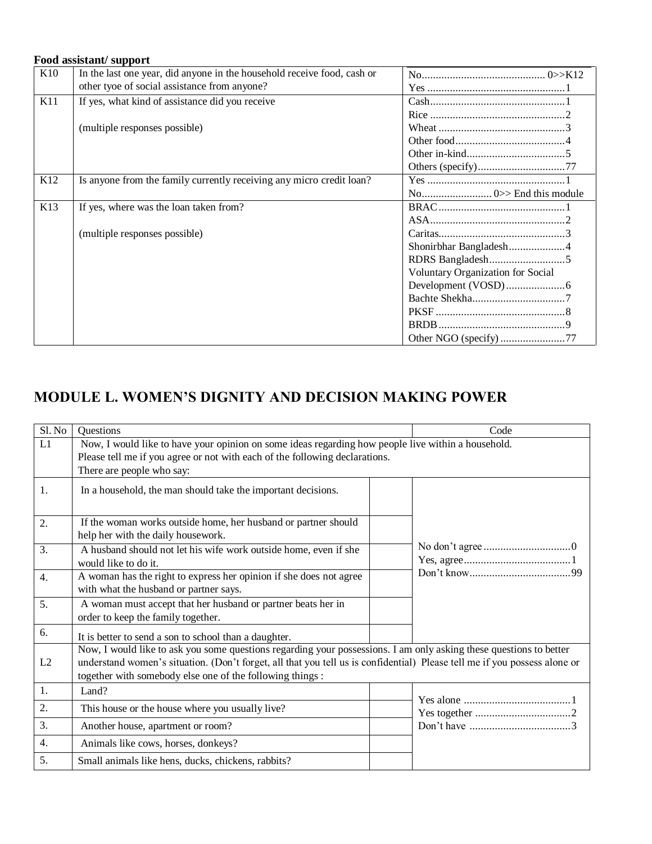#### **Food assistant/ support**

| K10             | In the last one year, did anyone in the household receive food, cash or |                                   |
|-----------------|-------------------------------------------------------------------------|-----------------------------------|
|                 | other tyoe of social assistance from anyone?                            |                                   |
| K11             | If yes, what kind of assistance did you receive                         |                                   |
|                 |                                                                         |                                   |
|                 | (multiple responses possible)                                           |                                   |
|                 |                                                                         |                                   |
|                 |                                                                         |                                   |
|                 |                                                                         |                                   |
| K <sub>12</sub> | Is anyone from the family currently receiving any micro credit loan?    |                                   |
|                 |                                                                         |                                   |
| K <sub>13</sub> | If yes, where was the loan taken from?                                  |                                   |
|                 |                                                                         |                                   |
|                 | (multiple responses possible)                                           |                                   |
|                 |                                                                         | Shonirbhar Bangladesh4            |
|                 |                                                                         |                                   |
|                 |                                                                         | Voluntary Organization for Social |
|                 |                                                                         |                                   |
|                 |                                                                         |                                   |
|                 |                                                                         |                                   |
|                 |                                                                         |                                   |
|                 |                                                                         | Other NGO (specify) 77            |

## <span id="page-30-0"></span>**MODULE L. WOMEN'S DIGNITY AND DECISION MAKING POWER**

| Sl. No           | Questions                                                                                                                                                                                                                                                                                                    | Code                                                               |  |  |  |  |  |
|------------------|--------------------------------------------------------------------------------------------------------------------------------------------------------------------------------------------------------------------------------------------------------------------------------------------------------------|--------------------------------------------------------------------|--|--|--|--|--|
| L1               | Now, I would like to have your opinion on some ideas regarding how people live within a household.<br>Please tell me if you agree or not with each of the following declarations.<br>There are people who say:                                                                                               |                                                                    |  |  |  |  |  |
| 1.               | In a household, the man should take the important decisions.                                                                                                                                                                                                                                                 |                                                                    |  |  |  |  |  |
| 2.               | If the woman works outside home, her husband or partner should<br>help her with the daily housework.                                                                                                                                                                                                         |                                                                    |  |  |  |  |  |
| 3.               | A husband should not let his wife work outside home, even if she<br>would like to do it.                                                                                                                                                                                                                     |                                                                    |  |  |  |  |  |
| $\overline{4}$ . | A woman has the right to express her opinion if she does not agree<br>with what the husband or partner says.                                                                                                                                                                                                 |                                                                    |  |  |  |  |  |
| 5.               | A woman must accept that her husband or partner beats her in<br>order to keep the family together.                                                                                                                                                                                                           |                                                                    |  |  |  |  |  |
| 6.               | It is better to send a son to school than a daughter.                                                                                                                                                                                                                                                        |                                                                    |  |  |  |  |  |
| L2               | Now, I would like to ask you some questions regarding your possessions. I am only asking these questions to better<br>understand women's situation. (Don't forget, all that you tell us is confidential) Please tell me if you possess alone or<br>together with somebody else one of the following things : |                                                                    |  |  |  |  |  |
| 1.               | Land?                                                                                                                                                                                                                                                                                                        |                                                                    |  |  |  |  |  |
| 2.               | This house or the house where you usually live?                                                                                                                                                                                                                                                              |                                                                    |  |  |  |  |  |
| 3.               | Another house, apartment or room?                                                                                                                                                                                                                                                                            | Don't have $\dots \dots \dots \dots \dots \dots \dots \dots \dots$ |  |  |  |  |  |
| 4.               | Animals like cows, horses, donkeys?                                                                                                                                                                                                                                                                          |                                                                    |  |  |  |  |  |
| 5.               | Small animals like hens, ducks, chickens, rabbits?                                                                                                                                                                                                                                                           |                                                                    |  |  |  |  |  |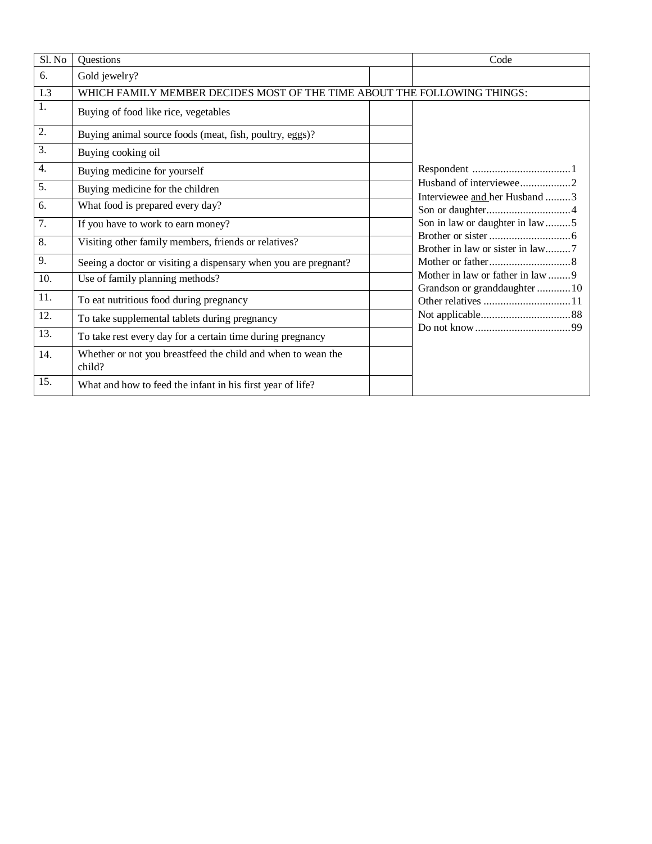| Sl. No           | Questions                                                                | Code |                                                                   |
|------------------|--------------------------------------------------------------------------|------|-------------------------------------------------------------------|
| 6.               | Gold jewelry?                                                            |      |                                                                   |
| L <sub>3</sub>   | WHICH FAMILY MEMBER DECIDES MOST OF THE TIME ABOUT THE FOLLOWING THINGS: |      |                                                                   |
| 1.               | Buying of food like rice, vegetables                                     |      |                                                                   |
| 2.               | Buying animal source foods (meat, fish, poultry, eggs)?                  |      |                                                                   |
| 3.               | Buying cooking oil                                                       |      |                                                                   |
| $\overline{4}$ . | Buying medicine for yourself                                             |      |                                                                   |
| 5.               | Buying medicine for the children                                         |      | Interviewee and her Husband 3                                     |
| 6.               | What food is prepared every day?                                         |      |                                                                   |
| 7.               | If you have to work to earn money?                                       |      | Son in law or daughter in law 5                                   |
| 8.               | Visiting other family members, friends or relatives?                     |      | Brother in law or sister in law7                                  |
| 9.               | Seeing a doctor or visiting a dispensary when you are pregnant?          |      |                                                                   |
| 10.              | Use of family planning methods?                                          |      | Mother in law or father in law 9<br>Grandson or granddaughter  10 |
| 11.              | To eat nutritious food during pregnancy                                  |      |                                                                   |
| 12.              | To take supplemental tablets during pregnancy                            |      |                                                                   |
| 13.              | To take rest every day for a certain time during pregnancy               |      |                                                                   |
| 14.              | Whether or not you breastfeed the child and when to wean the<br>child?   |      |                                                                   |
| 15.              | What and how to feed the infant in his first year of life?               |      |                                                                   |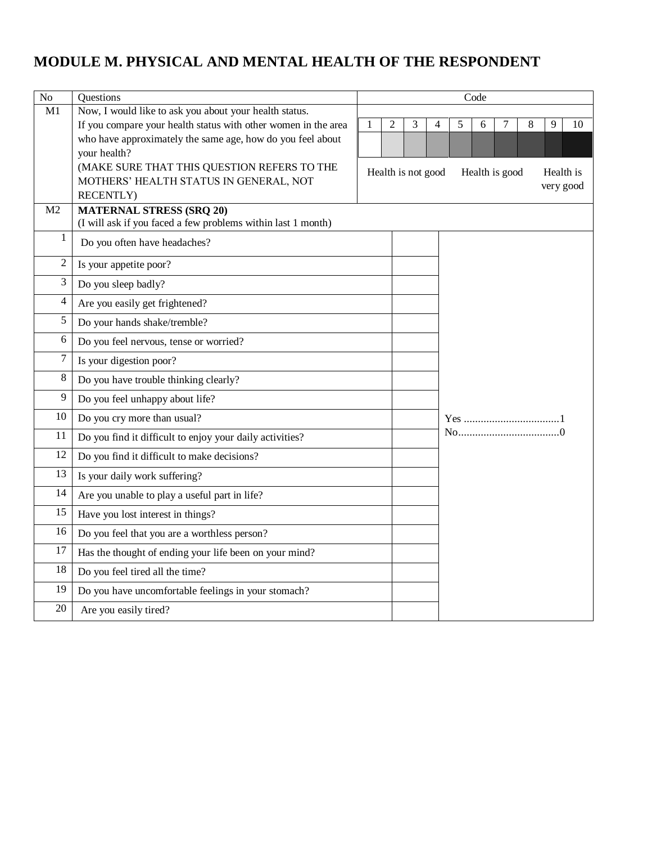## <span id="page-32-0"></span>**MODULE M. PHYSICAL AND MENTAL HEALTH OF THE RESPONDENT**

| No             | Questions                                                      | Code |                |                    |   |   |   |                |   |           |    |
|----------------|----------------------------------------------------------------|------|----------------|--------------------|---|---|---|----------------|---|-----------|----|
| M1             | Now, I would like to ask you about your health status.         |      |                |                    |   |   |   |                |   |           |    |
|                | If you compare your health status with other women in the area | 1    | $\overline{c}$ | 3                  | 4 | 5 | 6 | 7              | 8 | 9         | 10 |
|                | who have approximately the same age, how do you feel about     |      |                |                    |   |   |   |                |   |           |    |
|                | your health?                                                   |      |                |                    |   |   |   |                |   |           |    |
|                | (MAKE SURE THAT THIS QUESTION REFERS TO THE                    |      |                | Health is not good |   |   |   | Health is good |   | Health is |    |
|                | MOTHERS' HEALTH STATUS IN GENERAL, NOT<br><b>RECENTLY</b> )    |      |                |                    |   |   |   |                |   | very good |    |
| M2             | <b>MATERNAL STRESS (SRQ 20)</b>                                |      |                |                    |   |   |   |                |   |           |    |
|                | (I will ask if you faced a few problems within last 1 month)   |      |                |                    |   |   |   |                |   |           |    |
| $\mathbf{1}$   | Do you often have headaches?                                   |      |                |                    |   |   |   |                |   |           |    |
| $\overline{c}$ | Is your appetite poor?                                         |      |                |                    |   |   |   |                |   |           |    |
| 3              | Do you sleep badly?                                            |      |                |                    |   |   |   |                |   |           |    |
| 4              | Are you easily get frightened?                                 |      |                |                    |   |   |   |                |   |           |    |
| 5              | Do your hands shake/tremble?                                   |      |                |                    |   |   |   |                |   |           |    |
| 6              | Do you feel nervous, tense or worried?                         |      |                |                    |   |   |   |                |   |           |    |
| 7              | Is your digestion poor?                                        |      |                |                    |   |   |   |                |   |           |    |
| 8              | Do you have trouble thinking clearly?                          |      |                |                    |   |   |   |                |   |           |    |
| 9              | Do you feel unhappy about life?                                |      |                |                    |   |   |   |                |   |           |    |
| $10\,$         | Do you cry more than usual?                                    |      |                |                    |   |   |   |                |   |           |    |
| 11             | Do you find it difficult to enjoy your daily activities?       |      |                |                    |   |   |   |                |   |           |    |
| 12             | Do you find it difficult to make decisions?                    |      |                |                    |   |   |   |                |   |           |    |
| 13             | Is your daily work suffering?                                  |      |                |                    |   |   |   |                |   |           |    |
| 14             | Are you unable to play a useful part in life?                  |      |                |                    |   |   |   |                |   |           |    |
| 15             | Have you lost interest in things?                              |      |                |                    |   |   |   |                |   |           |    |
| 16             | Do you feel that you are a worthless person?                   |      |                |                    |   |   |   |                |   |           |    |
| 17             | Has the thought of ending your life been on your mind?         |      |                |                    |   |   |   |                |   |           |    |
| 18             | Do you feel tired all the time?                                |      |                |                    |   |   |   |                |   |           |    |
| 19             | Do you have uncomfortable feelings in your stomach?            |      |                |                    |   |   |   |                |   |           |    |
| 20             | Are you easily tired?                                          |      |                |                    |   |   |   |                |   |           |    |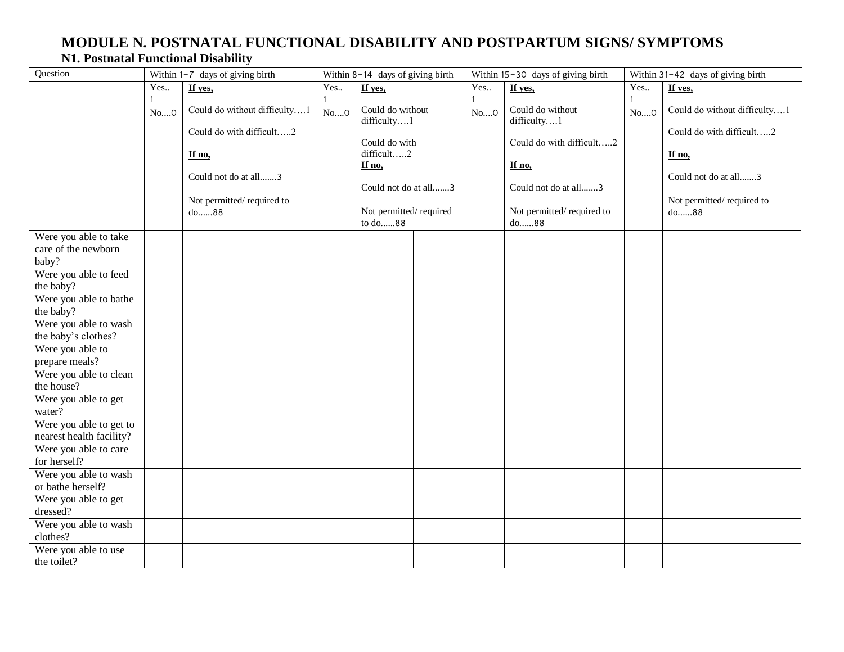### **MODULE N. POSTNATAL FUNCTIONAL DISABILITY AND POSTPARTUM SIGNS/ SYMPTOMS N1. Postnatal Functional Disability**

<span id="page-33-0"></span>

| Question                                              | Within 1-7 days of giving birth |                                                                                                                                 | Within 8-14 days of giving birth |      | Within 15-30 days of giving birth                                                                                                     |  |      | Within 31-42 days of giving birth |                                                                                                                                            |                |  |  |  |  |                                                                                                 |                              |
|-------------------------------------------------------|---------------------------------|---------------------------------------------------------------------------------------------------------------------------------|----------------------------------|------|---------------------------------------------------------------------------------------------------------------------------------------|--|------|-----------------------------------|--------------------------------------------------------------------------------------------------------------------------------------------|----------------|--|--|--|--|-------------------------------------------------------------------------------------------------|------------------------------|
|                                                       | Yes                             | If yes,                                                                                                                         |                                  | Yes  | If yes,                                                                                                                               |  | Yes. | If yes,                           |                                                                                                                                            | Yes<br>If yes, |  |  |  |  |                                                                                                 |                              |
|                                                       | 1<br>$No$ <sup>0</sup>          | Could do without difficulty1<br>Could do with difficult2<br>If no,<br>Could not do at all3<br>Not permitted/required to<br>do88 |                                  | No 0 | Could do without<br>difficulty1<br>Could do with<br>difficult2<br>If no,<br>Could not do at all3<br>Not permitted/required<br>to do88 |  |      |                                   | Could do without<br>No 0<br>difficulty1<br>Could do with difficult2<br>If no,<br>Could not do at all3<br>Not permitted/required to<br>do88 |                |  |  |  |  | Could do with difficult2<br>If no,<br>Could not do at all3<br>Not permitted/required to<br>do88 | Could do without difficulty1 |
| Were you able to take<br>care of the newborn<br>baby? |                                 |                                                                                                                                 |                                  |      |                                                                                                                                       |  |      |                                   |                                                                                                                                            |                |  |  |  |  |                                                                                                 |                              |
| Were you able to feed<br>the baby?                    |                                 |                                                                                                                                 |                                  |      |                                                                                                                                       |  |      |                                   |                                                                                                                                            |                |  |  |  |  |                                                                                                 |                              |
| Were you able to bathe<br>the baby?                   |                                 |                                                                                                                                 |                                  |      |                                                                                                                                       |  |      |                                   |                                                                                                                                            |                |  |  |  |  |                                                                                                 |                              |
| Were you able to wash<br>the baby's clothes?          |                                 |                                                                                                                                 |                                  |      |                                                                                                                                       |  |      |                                   |                                                                                                                                            |                |  |  |  |  |                                                                                                 |                              |
| Were you able to<br>prepare meals?                    |                                 |                                                                                                                                 |                                  |      |                                                                                                                                       |  |      |                                   |                                                                                                                                            |                |  |  |  |  |                                                                                                 |                              |
| Were you able to clean<br>the house?                  |                                 |                                                                                                                                 |                                  |      |                                                                                                                                       |  |      |                                   |                                                                                                                                            |                |  |  |  |  |                                                                                                 |                              |
| Were you able to get<br>water?                        |                                 |                                                                                                                                 |                                  |      |                                                                                                                                       |  |      |                                   |                                                                                                                                            |                |  |  |  |  |                                                                                                 |                              |
| Were you able to get to<br>nearest health facility?   |                                 |                                                                                                                                 |                                  |      |                                                                                                                                       |  |      |                                   |                                                                                                                                            |                |  |  |  |  |                                                                                                 |                              |
| Were you able to care<br>for herself?                 |                                 |                                                                                                                                 |                                  |      |                                                                                                                                       |  |      |                                   |                                                                                                                                            |                |  |  |  |  |                                                                                                 |                              |
| Were you able to wash<br>or bathe herself?            |                                 |                                                                                                                                 |                                  |      |                                                                                                                                       |  |      |                                   |                                                                                                                                            |                |  |  |  |  |                                                                                                 |                              |
| Were you able to get<br>dressed?                      |                                 |                                                                                                                                 |                                  |      |                                                                                                                                       |  |      |                                   |                                                                                                                                            |                |  |  |  |  |                                                                                                 |                              |
| Were you able to wash<br>clothes?                     |                                 |                                                                                                                                 |                                  |      |                                                                                                                                       |  |      |                                   |                                                                                                                                            |                |  |  |  |  |                                                                                                 |                              |
| Were you able to use<br>the toilet?                   |                                 |                                                                                                                                 |                                  |      |                                                                                                                                       |  |      |                                   |                                                                                                                                            |                |  |  |  |  |                                                                                                 |                              |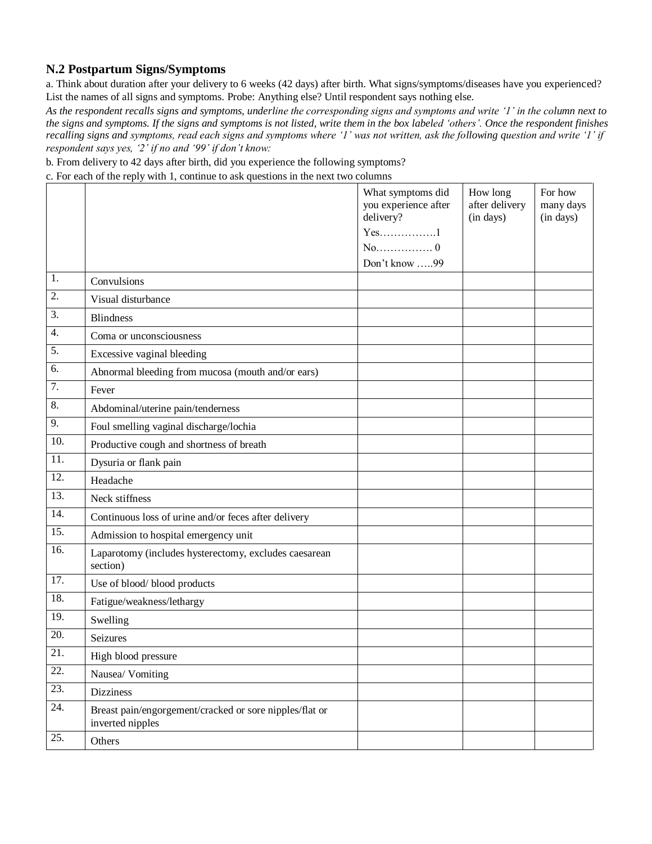#### **N.2 Postpartum Signs/Symptoms**

a. Think about duration after your delivery to 6 weeks (42 days) after birth. What signs/symptoms/diseases have you experienced? List the names of all signs and symptoms. Probe: Anything else? Until respondent says nothing else.

*As the respondent recalls signs and symptoms, underline the corresponding signs and symptoms and write '1' in the column next to the signs and symptoms. If the signs and symptoms is not listed, write them in the box labeled 'others'. Once the respondent finishes recalling signs and symptoms, read each signs and symptoms where '1' was not written, ask the following question and write '1' if respondent says yes, '2' if no and '99' if don't know:* 

b. From delivery to 42 days after birth, did you experience the following symptoms?

c. For each of the reply with 1, continue to ask questions in the next two columns

|                   |                                                                             | What symptoms did<br>you experience after<br>delivery?<br>$Yes$ 1 | How long<br>after delivery<br>(in days) | For how<br>many days<br>(in days) |
|-------------------|-----------------------------------------------------------------------------|-------------------------------------------------------------------|-----------------------------------------|-----------------------------------|
|                   |                                                                             | $No$ 0                                                            |                                         |                                   |
|                   |                                                                             | Don't know 99                                                     |                                         |                                   |
| 1.                | Convulsions                                                                 |                                                                   |                                         |                                   |
| 2.                | Visual disturbance                                                          |                                                                   |                                         |                                   |
| 3.                | <b>Blindness</b>                                                            |                                                                   |                                         |                                   |
| 4.                | Coma or unconsciousness                                                     |                                                                   |                                         |                                   |
| 5.                | Excessive vaginal bleeding                                                  |                                                                   |                                         |                                   |
| 6.                | Abnormal bleeding from mucosa (mouth and/or ears)                           |                                                                   |                                         |                                   |
| 7.                | Fever                                                                       |                                                                   |                                         |                                   |
| 8.                | Abdominal/uterine pain/tenderness                                           |                                                                   |                                         |                                   |
| 9.                | Foul smelling vaginal discharge/lochia                                      |                                                                   |                                         |                                   |
| 10.               | Productive cough and shortness of breath                                    |                                                                   |                                         |                                   |
| 11.               | Dysuria or flank pain                                                       |                                                                   |                                         |                                   |
| 12.               | Headache                                                                    |                                                                   |                                         |                                   |
| $\overline{13}$ . | Neck stiffness                                                              |                                                                   |                                         |                                   |
| 14.               | Continuous loss of urine and/or feces after delivery                        |                                                                   |                                         |                                   |
| $\overline{15}$ . | Admission to hospital emergency unit                                        |                                                                   |                                         |                                   |
| 16.               | Laparotomy (includes hysterectomy, excludes caesarean<br>section)           |                                                                   |                                         |                                   |
| 17.               | Use of blood/blood products                                                 |                                                                   |                                         |                                   |
| 18.               | Fatigue/weakness/lethargy                                                   |                                                                   |                                         |                                   |
| 19.               | Swelling                                                                    |                                                                   |                                         |                                   |
| 20.               | Seizures                                                                    |                                                                   |                                         |                                   |
| 21.               | High blood pressure                                                         |                                                                   |                                         |                                   |
| 22.               | Nausea/ Vomiting                                                            |                                                                   |                                         |                                   |
| 23.               | <b>Dizziness</b>                                                            |                                                                   |                                         |                                   |
| 24.               | Breast pain/engorgement/cracked or sore nipples/flat or<br>inverted nipples |                                                                   |                                         |                                   |
| 25.               | Others                                                                      |                                                                   |                                         |                                   |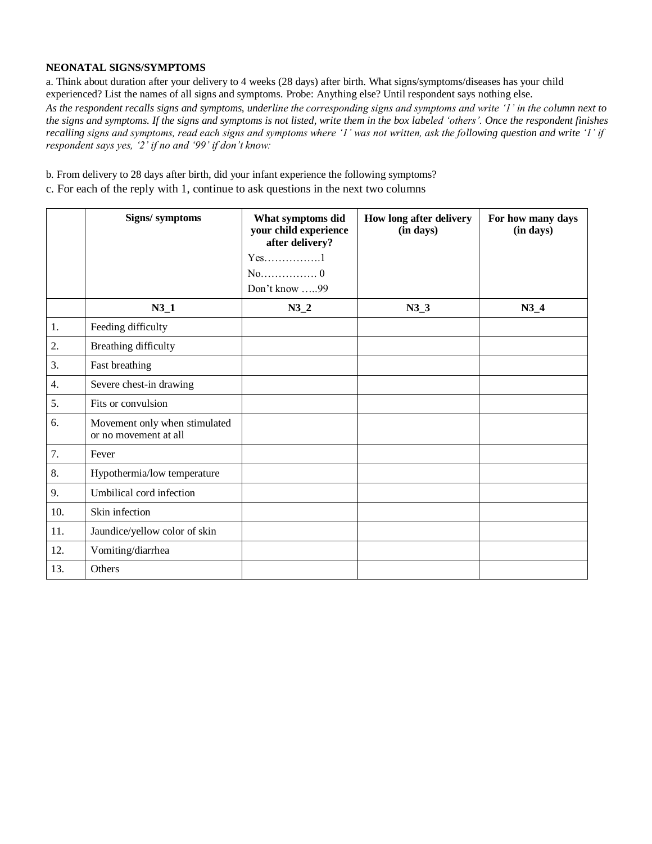#### **NEONATAL SIGNS/SYMPTOMS**

a. Think about duration after your delivery to 4 weeks (28 days) after birth. What signs/symptoms/diseases has your child experienced? List the names of all signs and symptoms. Probe: Anything else? Until respondent says nothing else.

*As the respondent recalls signs and symptoms, underline the corresponding signs and symptoms and write '1' in the column next to the signs and symptoms. If the signs and symptoms is not listed, write them in the box labeled 'others'. Once the respondent finishes recalling signs and symptoms, read each signs and symptoms where '1' was not written, ask the following question and write '1' if respondent says yes, '2' if no and '99' if don't know:* 

b. From delivery to 28 days after birth, did your infant experience the following symptoms?

c. For each of the reply with 1, continue to ask questions in the next two columns

|     | Signs/symptoms                                         | What symptoms did<br>your child experience<br>after delivery?<br>$Yes$ 1<br>$No$ 0<br>Don't know 99 | How long after delivery<br>(in days) | For how many days<br>(in days) |
|-----|--------------------------------------------------------|-----------------------------------------------------------------------------------------------------|--------------------------------------|--------------------------------|
|     | $N3_1$                                                 | $N3_2$                                                                                              | $N3_3$                               | $N3_4$                         |
| 1.  | Feeding difficulty                                     |                                                                                                     |                                      |                                |
| 2.  | Breathing difficulty                                   |                                                                                                     |                                      |                                |
| 3.  | Fast breathing                                         |                                                                                                     |                                      |                                |
| 4.  | Severe chest-in drawing                                |                                                                                                     |                                      |                                |
| 5.  | Fits or convulsion                                     |                                                                                                     |                                      |                                |
| 6.  | Movement only when stimulated<br>or no movement at all |                                                                                                     |                                      |                                |
| 7.  | Fever                                                  |                                                                                                     |                                      |                                |
| 8.  | Hypothermia/low temperature                            |                                                                                                     |                                      |                                |
| 9.  | Umbilical cord infection                               |                                                                                                     |                                      |                                |
| 10. | Skin infection                                         |                                                                                                     |                                      |                                |
| 11. | Jaundice/yellow color of skin                          |                                                                                                     |                                      |                                |
| 12. | Vomiting/diarrhea                                      |                                                                                                     |                                      |                                |
| 13. | Others                                                 |                                                                                                     |                                      |                                |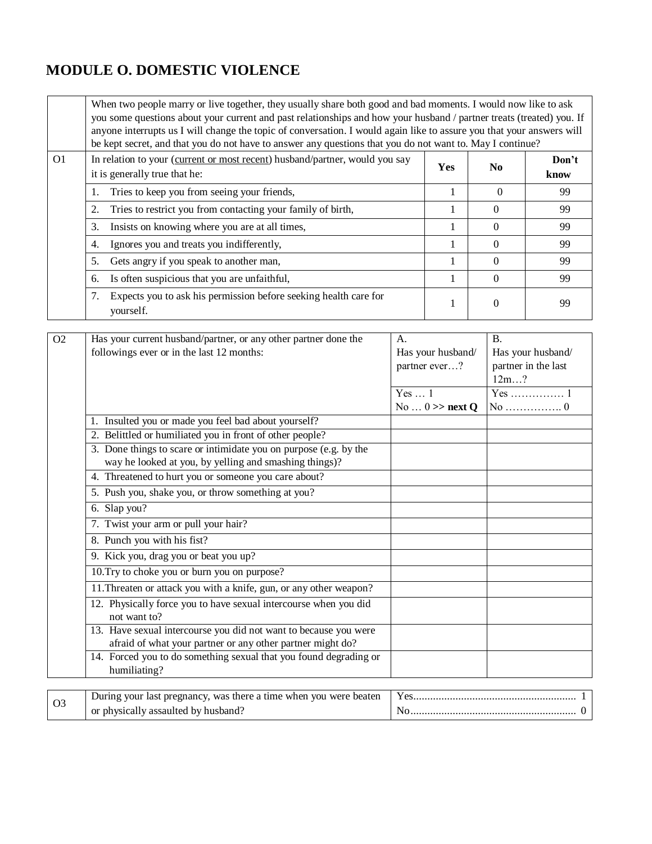## <span id="page-36-0"></span>**MODULE O. DOMESTIC VIOLENCE**

|                                                                                                                                                                |                                                                                     | When two people marry or live together, they usually share both good and bad moments. I would now like to ask<br>you some questions about your current and past relationships and how your husband / partner treats (treated) you. If<br>anyone interrupts us I will change the topic of conversation. I would again like to assure you that your answers will<br>be kept secret, and that you do not have to answer any questions that you do not want to. May I continue? |          |     |  |  |  |  |  |  |  |
|----------------------------------------------------------------------------------------------------------------------------------------------------------------|-------------------------------------------------------------------------------------|-----------------------------------------------------------------------------------------------------------------------------------------------------------------------------------------------------------------------------------------------------------------------------------------------------------------------------------------------------------------------------------------------------------------------------------------------------------------------------|----------|-----|--|--|--|--|--|--|--|
| O <sub>1</sub><br>In relation to your (current or most recent) husband/partner, would you say<br><b>Yes</b><br>N <sub>0</sub><br>it is generally true that he: |                                                                                     |                                                                                                                                                                                                                                                                                                                                                                                                                                                                             |          |     |  |  |  |  |  |  |  |
|                                                                                                                                                                | Tries to keep you from seeing your friends,<br>1.                                   | 1                                                                                                                                                                                                                                                                                                                                                                                                                                                                           | $\Omega$ | 99  |  |  |  |  |  |  |  |
|                                                                                                                                                                | Tries to restrict you from contacting your family of birth,<br>2.                   | 1                                                                                                                                                                                                                                                                                                                                                                                                                                                                           | $\Omega$ | 99  |  |  |  |  |  |  |  |
|                                                                                                                                                                | 3.<br>Insists on knowing where you are at all times,                                | 1                                                                                                                                                                                                                                                                                                                                                                                                                                                                           | $\Omega$ | 99  |  |  |  |  |  |  |  |
|                                                                                                                                                                | Ignores you and treats you indifferently,<br>4.                                     | 1                                                                                                                                                                                                                                                                                                                                                                                                                                                                           | $\Omega$ | 99  |  |  |  |  |  |  |  |
|                                                                                                                                                                | 5.<br>Gets angry if you speak to another man,                                       | 1                                                                                                                                                                                                                                                                                                                                                                                                                                                                           | $\Omega$ | 99  |  |  |  |  |  |  |  |
|                                                                                                                                                                | Is often suspicious that you are unfaithful,<br>6.                                  | 1                                                                                                                                                                                                                                                                                                                                                                                                                                                                           | $\Omega$ | 99  |  |  |  |  |  |  |  |
|                                                                                                                                                                | Expects you to ask his permission before seeking health care for<br>7.<br>yourself. | 1                                                                                                                                                                                                                                                                                                                                                                                                                                                                           | $\Omega$ | -99 |  |  |  |  |  |  |  |

| O <sub>2</sub> | Has your current husband/partner, or any other partner done the                   | $A$ .                   | <b>B.</b>                           |
|----------------|-----------------------------------------------------------------------------------|-------------------------|-------------------------------------|
|                | followings ever or in the last 12 months:                                         | Has your husband/       | Has your husband/                   |
|                |                                                                                   | partner ever?           | partner in the last                 |
|                |                                                                                   |                         | 12m?                                |
|                |                                                                                   | Yes $\dots$ 1           |                                     |
|                |                                                                                   | No $\ldots$ 0 >> next Q | No $\dots\dots\dots\dots\dots\dots$ |
|                | 1. Insulted you or made you feel bad about yourself?                              |                         |                                     |
|                | 2. Belittled or humiliated you in front of other people?                          |                         |                                     |
|                | 3. Done things to scare or intimidate you on purpose (e.g. by the                 |                         |                                     |
|                | way he looked at you, by yelling and smashing things)?                            |                         |                                     |
|                | 4. Threatened to hurt you or someone you care about?                              |                         |                                     |
|                | 5. Push you, shake you, or throw something at you?                                |                         |                                     |
|                | 6. Slap you?                                                                      |                         |                                     |
|                | 7. Twist your arm or pull your hair?                                              |                         |                                     |
|                | 8. Punch you with his fist?                                                       |                         |                                     |
|                | 9. Kick you, drag you or beat you up?                                             |                         |                                     |
|                | 10. Try to choke you or burn you on purpose?                                      |                         |                                     |
|                | 11. Threaten or attack you with a knife, gun, or any other weapon?                |                         |                                     |
|                | 12. Physically force you to have sexual intercourse when you did                  |                         |                                     |
|                | not want to?                                                                      |                         |                                     |
|                | 13. Have sexual intercourse you did not want to because you were                  |                         |                                     |
|                | afraid of what your partner or any other partner might do?                        |                         |                                     |
|                | 14. Forced you to do something sexual that you found degrading or<br>humiliating? |                         |                                     |
|                |                                                                                   |                         |                                     |
| O <sub>3</sub> | During your last pregnancy, was there a time when you were beaten                 |                         |                                     |
|                | or physically assaulted by husband?                                               |                         |                                     |